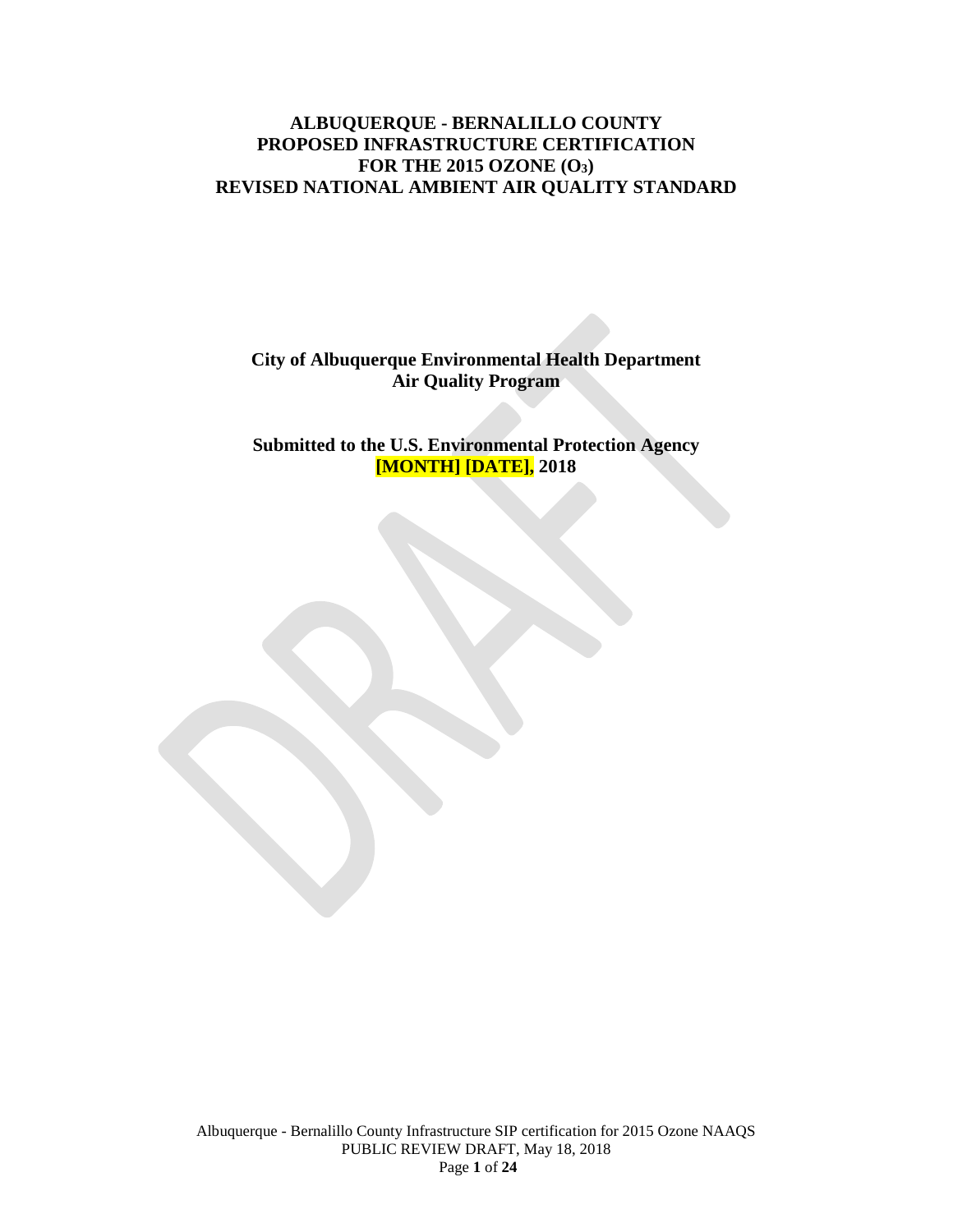## **ALBUQUERQUE - BERNALILLO COUNTY PROPOSED INFRASTRUCTURE CERTIFICATION FOR THE 2015 OZONE (O3) REVISED NATIONAL AMBIENT AIR QUALITY STANDARD**

## **City of Albuquerque Environmental Health Department Air Quality Program**

**Submitted to the U.S. Environmental Protection Agency [MONTH] [DATE], 2018**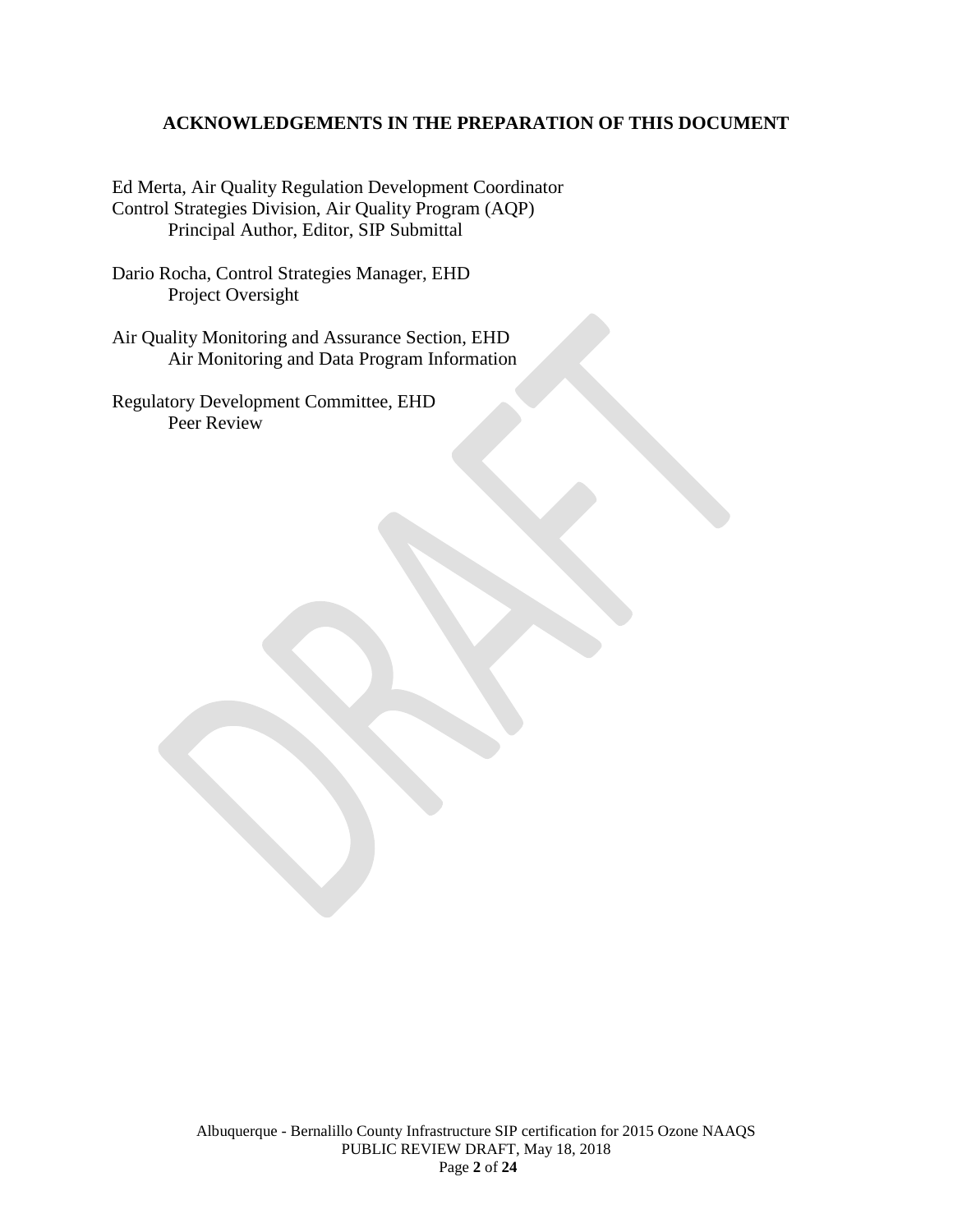## **ACKNOWLEDGEMENTS IN THE PREPARATION OF THIS DOCUMENT**

Ed Merta, Air Quality Regulation Development Coordinator Control Strategies Division, Air Quality Program (AQP) Principal Author, Editor, SIP Submittal

Dario Rocha, Control Strategies Manager, EHD Project Oversight

Air Quality Monitoring and Assurance Section, EHD Air Monitoring and Data Program Information

Regulatory Development Committee, EHD Peer Review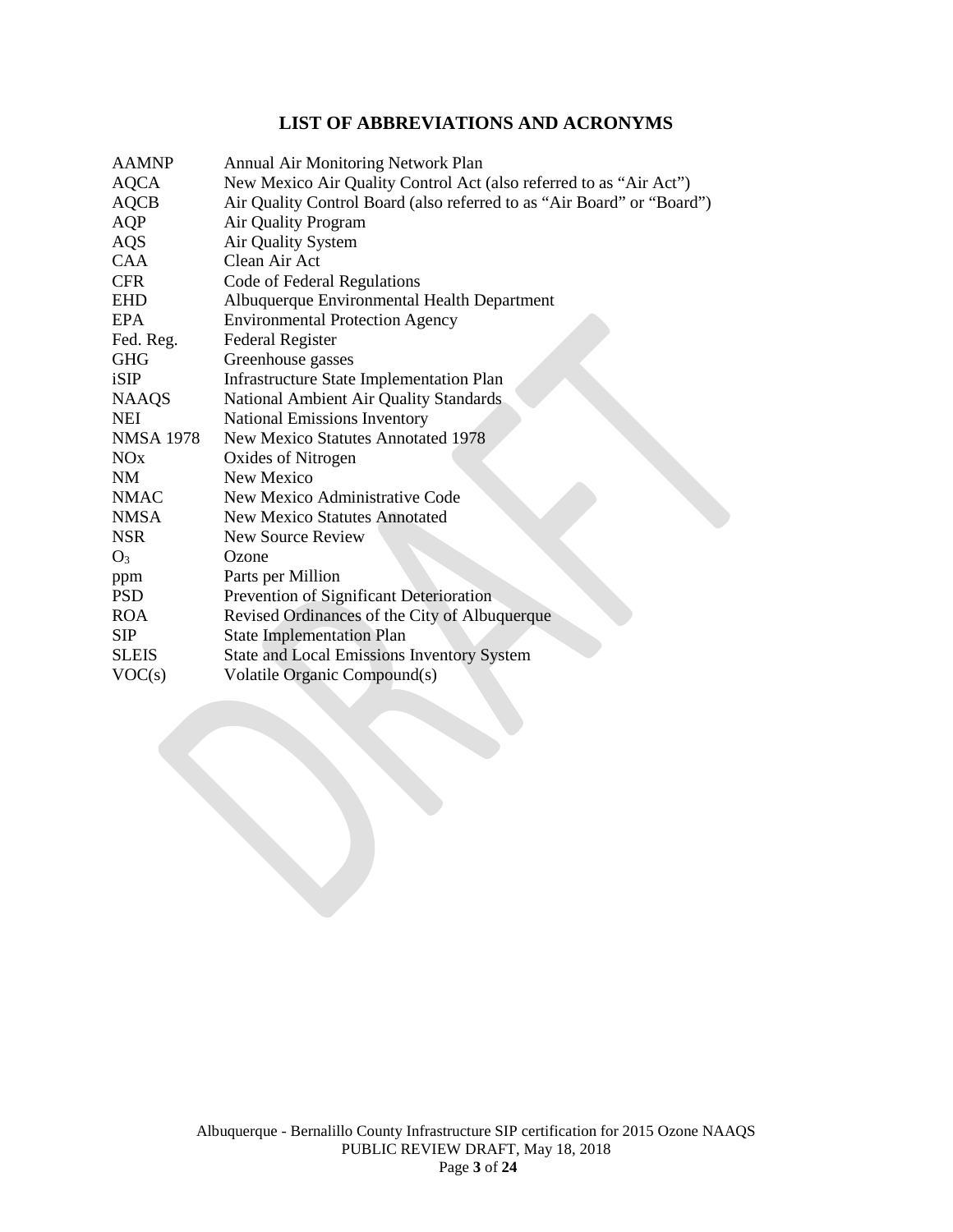# **LIST OF ABBREVIATIONS AND ACRONYMS**

| <b>AAMNP</b>          | Annual Air Monitoring Network Plan                                     |
|-----------------------|------------------------------------------------------------------------|
| <b>AQCA</b>           | New Mexico Air Quality Control Act (also referred to as "Air Act")     |
| <b>AQCB</b>           | Air Quality Control Board (also referred to as "Air Board" or "Board") |
| AQP                   | Air Quality Program                                                    |
| <b>AQS</b>            | Air Quality System                                                     |
| <b>CAA</b>            | Clean Air Act                                                          |
| <b>CFR</b>            | Code of Federal Regulations                                            |
| <b>EHD</b>            | Albuquerque Environmental Health Department                            |
| <b>EPA</b>            | <b>Environmental Protection Agency</b>                                 |
| Fed. Reg.             | <b>Federal Register</b>                                                |
| <b>GHG</b>            | Greenhouse gasses                                                      |
| iSIP                  | <b>Infrastructure State Implementation Plan</b>                        |
| <b>NAAQS</b>          | National Ambient Air Quality Standards                                 |
| NEI                   | <b>National Emissions Inventory</b>                                    |
| <b>NMSA 1978</b>      | <b>New Mexico Statutes Annotated 1978</b>                              |
| <b>NO<sub>x</sub></b> | Oxides of Nitrogen                                                     |
| <b>NM</b>             | New Mexico                                                             |
| <b>NMAC</b>           | New Mexico Administrative Code                                         |
| <b>NMSA</b>           | <b>New Mexico Statutes Annotated</b>                                   |
| <b>NSR</b>            | New Source Review                                                      |
| $O_3$                 | Ozone                                                                  |
| ppm                   | Parts per Million                                                      |
| <b>PSD</b>            | Prevention of Significant Deterioration                                |
| <b>ROA</b>            | Revised Ordinances of the City of Albuquerque                          |
| <b>SIP</b>            | <b>State Implementation Plan</b>                                       |
| <b>SLEIS</b>          | <b>State and Local Emissions Inventory System</b>                      |
| VOC(s)                | Volatile Organic Compound(s)                                           |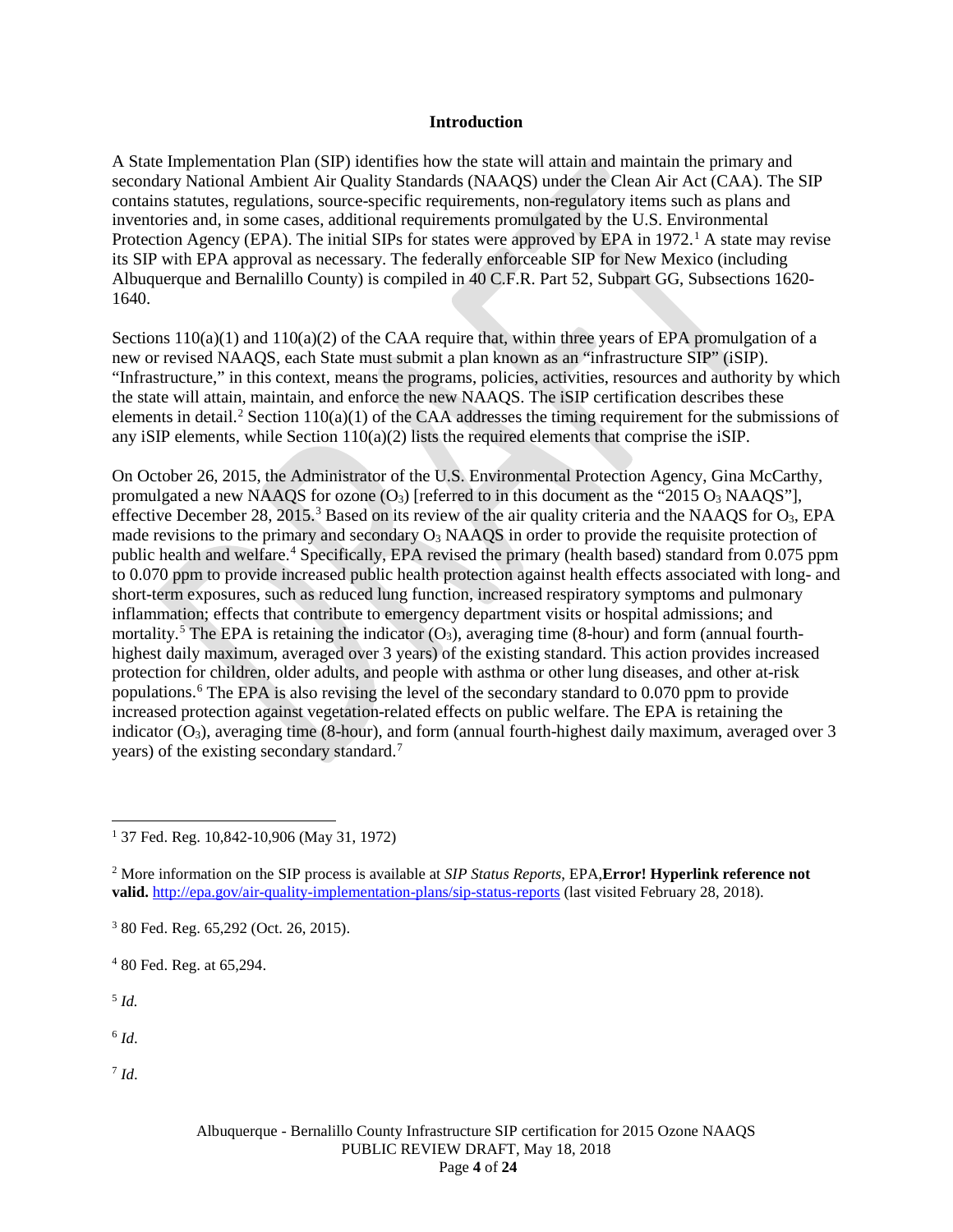#### **Introduction**

A State Implementation Plan (SIP) identifies how the state will attain and maintain the primary and secondary National Ambient Air Quality Standards (NAAQS) under the Clean Air Act (CAA). The SIP contains statutes, regulations, source-specific requirements, non-regulatory items such as plans and inventories and, in some cases, additional requirements promulgated by the U.S. Environmental Protection Agency (EPA). The initial SIPs for states were approved by EPA in  $1972<sup>1</sup>$  $1972<sup>1</sup>$ . A state may revise its SIP with EPA approval as necessary. The federally enforceable SIP for New Mexico (including Albuquerque and Bernalillo County) is compiled in 40 C.F.R. Part 52, Subpart GG, Subsections 1620- 1640.

Sections  $110(a)(1)$  and  $110(a)(2)$  of the CAA require that, within three years of EPA promulgation of a new or revised NAAQS, each State must submit a plan known as an "infrastructure SIP" (iSIP). "Infrastructure," in this context, means the programs, policies, activities, resources and authority by which the state will attain, maintain, and enforce the new NAAQS. The iSIP certification describes these elements in detail.<sup>[2](#page-3-1)</sup> Section 110(a)(1) of the CAA addresses the timing requirement for the submissions of any iSIP elements, while Section 110(a)(2) lists the required elements that comprise the iSIP.

On October 26, 2015, the Administrator of the U.S. Environmental Protection Agency, Gina McCarthy, promulgated a new NAAQS for ozone  $(O_3)$  [referred to in this document as the "2015  $O_3$  NAAQS"], effective December 28, 2015.[3](#page-3-2) Based on its review of the air quality criteria and the NAAQS for O3, EPA made revisions to the primary and secondary  $O_3$  NAAQS in order to provide the requisite protection of public health and welfare. [4](#page-3-3) Specifically, EPA revised the primary (health based) standard from 0.075 ppm to 0.070 ppm to provide increased public health protection against health effects associated with long- and short-term exposures, such as reduced lung function, increased respiratory symptoms and pulmonary inflammation; effects that contribute to emergency department visits or hospital admissions; and mortality.<sup>[5](#page-3-4)</sup> The EPA is retaining the indicator  $(O_3)$ , averaging time (8-hour) and form (annual fourthhighest daily maximum, averaged over 3 years) of the existing standard. This action provides increased protection for children, older adults, and people with asthma or other lung diseases, and other at-risk populations.[6](#page-3-5) The EPA is also revising the level of the secondary standard to 0.070 ppm to provide increased protection against vegetation-related effects on public welfare. The EPA is retaining the indicator  $(O_3)$ , averaging time (8-hour), and form (annual fourth-highest daily maximum, averaged over 3 years) of the existing secondary standard.[7](#page-3-6)

<span id="page-3-4"></span><sup>5</sup> *Id.*

<span id="page-3-5"></span> $6$  *Id.* 

<span id="page-3-6"></span><sup>7</sup> *Id*.

<span id="page-3-0"></span> <sup>1</sup> 37 Fed. Reg. 10,842-10,906 (May 31, 1972)

<span id="page-3-1"></span><sup>2</sup> More information on the SIP process is available at *SIP Status Reports*, EPA,**Error! Hyperlink reference not**  valid. <http://epa.gov/air-quality-implementation-plans/sip-status-reports> (last visited February 28, 2018).

<span id="page-3-2"></span><sup>3</sup> 80 Fed. Reg. 65,292 (Oct. 26, 2015).

<span id="page-3-3"></span><sup>4</sup> 80 Fed. Reg. at 65,294.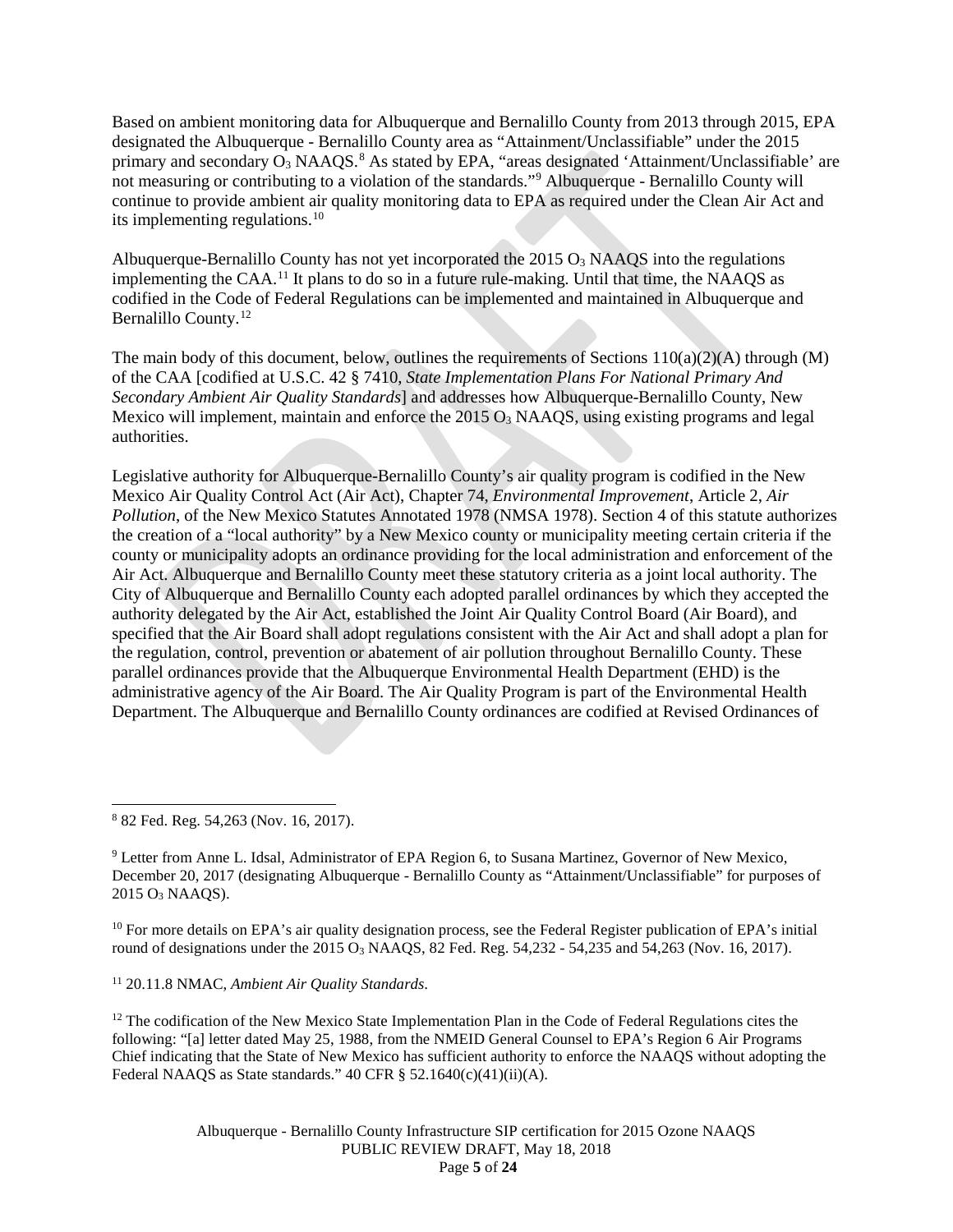Based on ambient monitoring data for Albuquerque and Bernalillo County from 2013 through 2015, EPA designated the Albuquerque - Bernalillo County area as "Attainment/Unclassifiable" under the 2015 primary and secondary O<sub>3</sub> NAAQS.<sup>[8](#page-4-0)</sup> As stated by EPA, "areas designated 'Attainment/Unclassifiable' are not measuring or contributing to a violation of the standards.["9](#page-4-1) Albuquerque - Bernalillo County will continue to provide ambient air quality monitoring data to EPA as required under the Clean Air Act and its implementing regulations.[10](#page-4-2)

Albuquerque-Bernalillo County has not yet incorporated the  $2015 O<sub>3</sub>$  NAAOS into the regulations implementing the CAA.[11](#page-4-3) It plans to do so in a future rule-making. Until that time, the NAAQS as codified in the Code of Federal Regulations can be implemented and maintained in Albuquerque and Bernalillo County. [12](#page-4-4)

The main body of this document, below, outlines the requirements of Sections  $110(a)(2)(A)$  through (M) of the CAA [codified at U.S.C. 42 § 7410, *State Implementation Plans For National Primary And Secondary Ambient Air Quality Standards*] and addresses how Albuquerque-Bernalillo County, New Mexico will implement, maintain and enforce the  $2015 O<sub>3</sub>$  NAAQS, using existing programs and legal authorities.

Legislative authority for Albuquerque-Bernalillo County's air quality program is codified in the New Mexico Air Quality Control Act (Air Act), Chapter 74, *Environmental Improvement*, Article 2, *Air Pollution*, of the New Mexico Statutes Annotated 1978 (NMSA 1978). Section 4 of this statute authorizes the creation of a "local authority" by a New Mexico county or municipality meeting certain criteria if the county or municipality adopts an ordinance providing for the local administration and enforcement of the Air Act. Albuquerque and Bernalillo County meet these statutory criteria as a joint local authority. The City of Albuquerque and Bernalillo County each adopted parallel ordinances by which they accepted the authority delegated by the Air Act, established the Joint Air Quality Control Board (Air Board), and specified that the Air Board shall adopt regulations consistent with the Air Act and shall adopt a plan for the regulation, control, prevention or abatement of air pollution throughout Bernalillo County. These parallel ordinances provide that the Albuquerque Environmental Health Department (EHD) is the administrative agency of the Air Board. The Air Quality Program is part of the Environmental Health Department. The Albuquerque and Bernalillo County ordinances are codified at Revised Ordinances of

<span id="page-4-0"></span>8 <sup>82</sup> Fed. Reg. 54,263 (Nov. 16, 2017).

<span id="page-4-1"></span><sup>9</sup> Letter from Anne L. Idsal, Administrator of EPA Region 6, to Susana Martinez, Governor of New Mexico, December 20, 2017 (designating Albuquerque - Bernalillo County as "Attainment/Unclassifiable" for purposes of 2015 O3 NAAQS).

<span id="page-4-2"></span><sup>10</sup> For more details on EPA's air quality designation process, see the Federal Register publication of EPA's initial round of designations under the 2015  $O_3$  NAAQS, 82 Fed. Reg. 54,232 - 54,235 and 54,263 (Nov. 16, 2017).

### <span id="page-4-3"></span><sup>11</sup> 20.11.8 NMAC, *Ambient Air Quality Standards*.

<span id="page-4-4"></span><sup>12</sup> The codification of the New Mexico State Implementation Plan in the Code of Federal Regulations cites the following: "[a] letter dated May 25, 1988, from the NMEID General Counsel to EPA's Region 6 Air Programs Chief indicating that the State of New Mexico has sufficient authority to enforce the NAAQS without adopting the Federal NAAQS as State standards."  $40 \text{ CFR } \S$  52.1640(c)(41)(ii)(A).

> Albuquerque - Bernalillo County Infrastructure SIP certification for 2015 Ozone NAAQS PUBLIC REVIEW DRAFT, May 18, 2018 Page **5** of **24**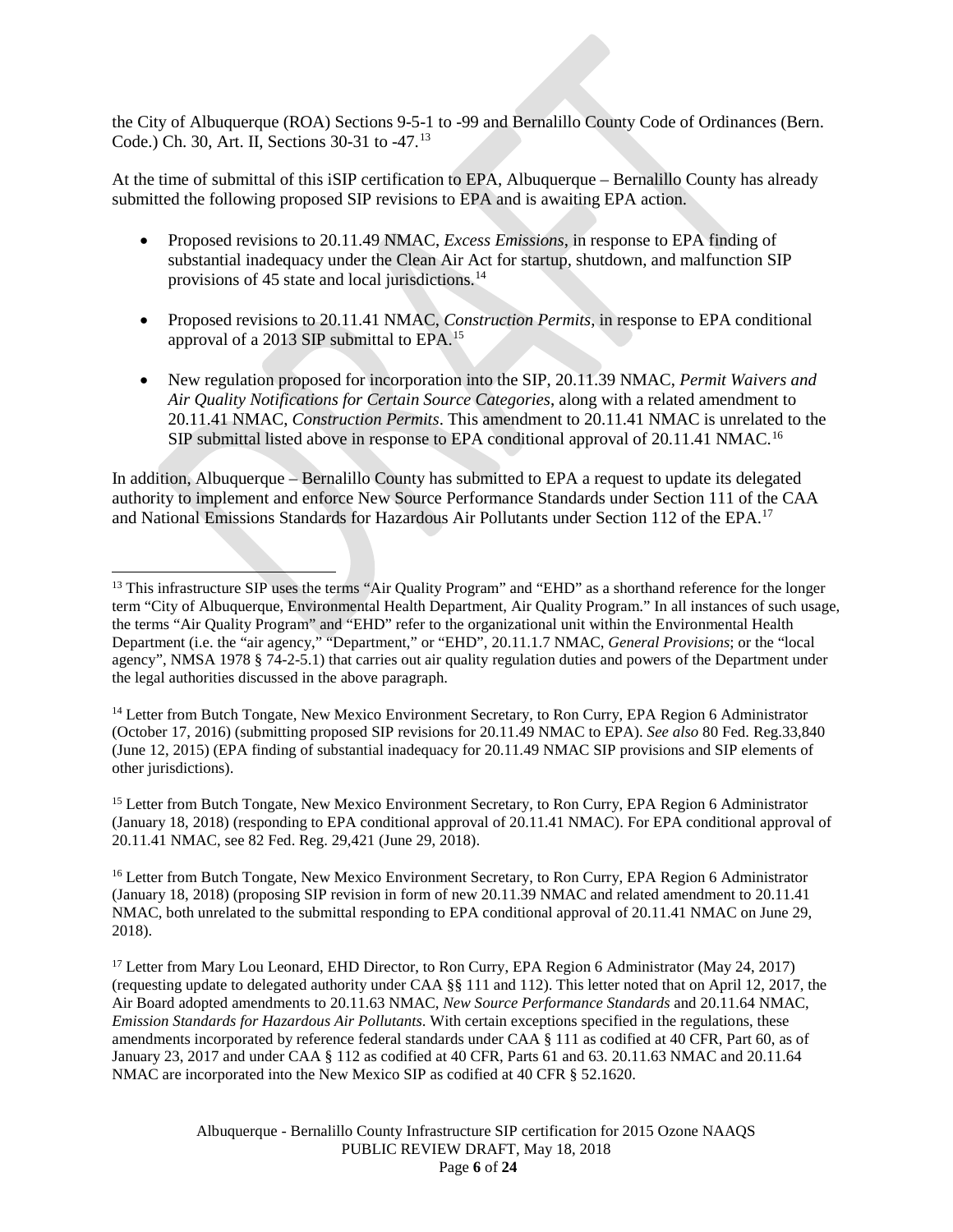the City of Albuquerque (ROA) Sections 9-5-1 to -99 and Bernalillo County Code of Ordinances (Bern. Code.) Ch. 30, Art. II, Sections 30-31 to -47. [13](#page-5-0)

At the time of submittal of this iSIP certification to EPA, Albuquerque – Bernalillo County has already submitted the following proposed SIP revisions to EPA and is awaiting EPA action.

- Proposed revisions to 20.11.49 NMAC, *Excess Emissions*, in response to EPA finding of substantial inadequacy under the Clean Air Act for startup, shutdown, and malfunction SIP provisions of 45 state and local jurisdictions.<sup>[14](#page-5-1)</sup>
- Proposed revisions to 20.11.41 NMAC, *Construction Permits*, in response to EPA conditional approval of a 2013 SIP submittal to EPA.[15](#page-5-2)
- New regulation proposed for incorporation into the SIP, 20.11.39 NMAC, *Permit Waivers and Air Quality Notifications for Certain Source Categories*, along with a related amendment to 20.11.41 NMAC, *Construction Permits*. This amendment to 20.11.41 NMAC is unrelated to the SIP submittal listed above in response to EPA conditional approval of 20.11.41 NMAC.<sup>[16](#page-5-3)</sup>

In addition, Albuquerque – Bernalillo County has submitted to EPA a request to update its delegated authority to implement and enforce New Source Performance Standards under Section 111 of the CAA and National Emissions Standards for Hazardous Air Pollutants under Section 112 of the EPA.[17](#page-5-4)

<span id="page-5-2"></span><sup>15</sup> Letter from Butch Tongate, New Mexico Environment Secretary, to Ron Curry, EPA Region 6 Administrator (January 18, 2018) (responding to EPA conditional approval of 20.11.41 NMAC). For EPA conditional approval of 20.11.41 NMAC, see 82 Fed. Reg. 29,421 (June 29, 2018).

<span id="page-5-3"></span><sup>16</sup> Letter from Butch Tongate, New Mexico Environment Secretary, to Ron Curry, EPA Region 6 Administrator (January 18, 2018) (proposing SIP revision in form of new 20.11.39 NMAC and related amendment to 20.11.41 NMAC, both unrelated to the submittal responding to EPA conditional approval of 20.11.41 NMAC on June 29, 2018).

<span id="page-5-4"></span><sup>17</sup> Letter from Mary Lou Leonard, EHD Director, to Ron Curry, EPA Region 6 Administrator (May 24, 2017) (requesting update to delegated authority under CAA §§ 111 and 112). This letter noted that on April 12, 2017, the Air Board adopted amendments to 20.11.63 NMAC, *New Source Performance Standards* and 20.11.64 NMAC, *Emission Standards for Hazardous Air Pollutants*. With certain exceptions specified in the regulations, these amendments incorporated by reference federal standards under CAA § 111 as codified at 40 CFR, Part 60, as of January 23, 2017 and under CAA § 112 as codified at 40 CFR, Parts 61 and 63. 20.11.63 NMAC and 20.11.64 NMAC are incorporated into the New Mexico SIP as codified at 40 CFR § 52.1620.

> Albuquerque - Bernalillo County Infrastructure SIP certification for 2015 Ozone NAAQS PUBLIC REVIEW DRAFT, May 18, 2018 Page **6** of **24**

<span id="page-5-0"></span><sup>&</sup>lt;sup>13</sup> This infrastructure SIP uses the terms "Air Quality Program" and "EHD" as a shorthand reference for the longer term "City of Albuquerque, Environmental Health Department, Air Quality Program." In all instances of such usage, the terms "Air Quality Program" and "EHD" refer to the organizational unit within the Environmental Health Department (i.e. the "air agency," "Department," or "EHD", 20.11.1.7 NMAC, *General Provisions*; or the "local agency", NMSA 1978 § 74-2-5.1) that carries out air quality regulation duties and powers of the Department under the legal authorities discussed in the above paragraph.

<span id="page-5-1"></span><sup>&</sup>lt;sup>14</sup> Letter from Butch Tongate, New Mexico Environment Secretary, to Ron Curry, EPA Region 6 Administrator (October 17, 2016) (submitting proposed SIP revisions for 20.11.49 NMAC to EPA). *See also* 80 Fed. Reg.33,840 (June 12, 2015) (EPA finding of substantial inadequacy for 20.11.49 NMAC SIP provisions and SIP elements of other jurisdictions).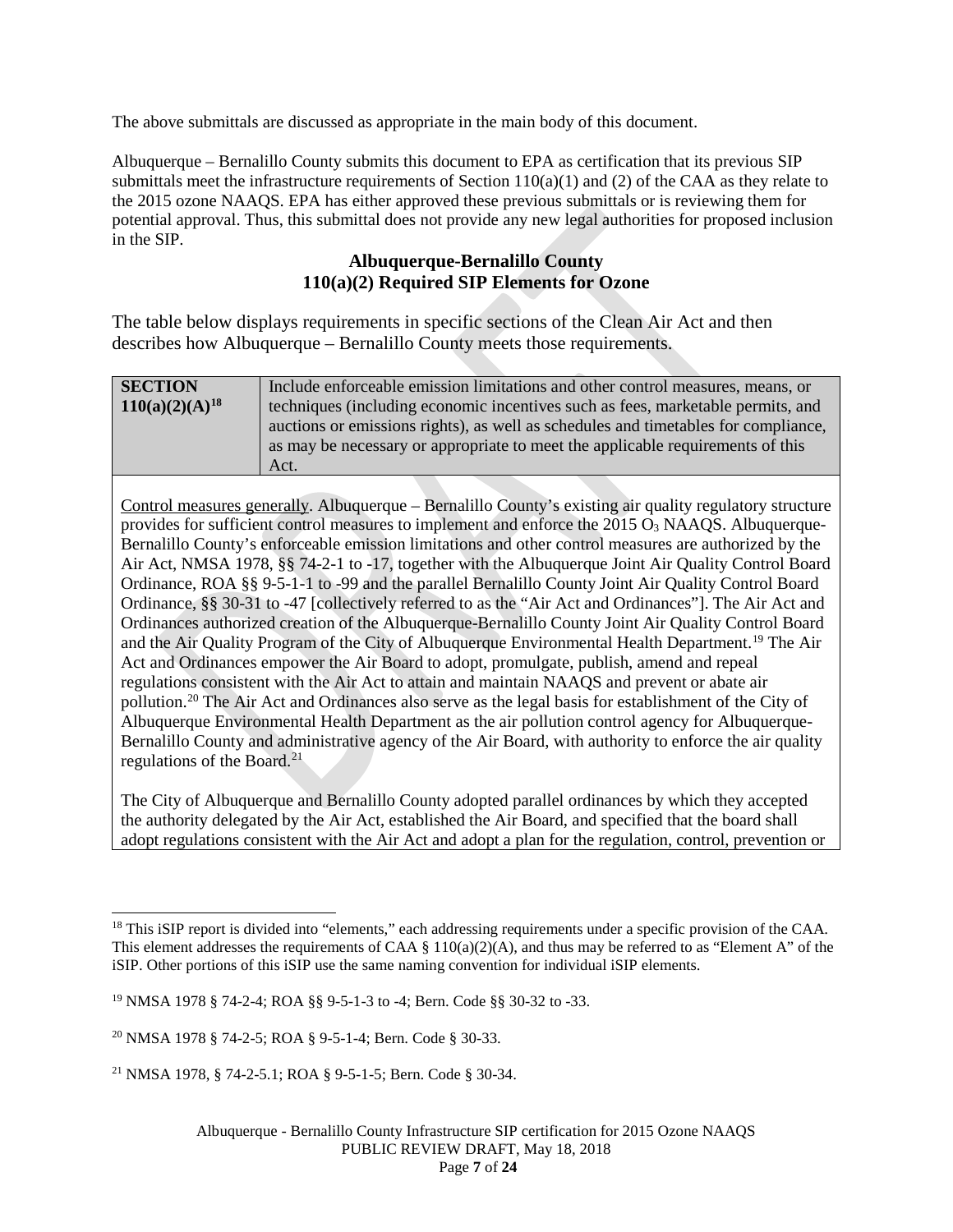The above submittals are discussed as appropriate in the main body of this document.

Albuquerque – Bernalillo County submits this document to EPA as certification that its previous SIP submittals meet the infrastructure requirements of Section  $110(a)(1)$  and (2) of the CAA as they relate to the 2015 ozone NAAQS. EPA has either approved these previous submittals or is reviewing them for potential approval. Thus, this submittal does not provide any new legal authorities for proposed inclusion in the SIP.

## **Albuquerque-Bernalillo County 110(a)(2) Required SIP Elements for Ozone**

The table below displays requirements in specific sections of the Clean Air Act and then describes how Albuquerque – Bernalillo County meets those requirements.

| <b>SECTION</b>      | Include enforceable emission limitations and other control measures, means, or     |
|---------------------|------------------------------------------------------------------------------------|
| $110(a)(2)(A)^{18}$ | techniques (including economic incentives such as fees, marketable permits, and    |
|                     | auctions or emissions rights), as well as schedules and timetables for compliance, |
|                     | as may be necessary or appropriate to meet the applicable requirements of this     |
|                     | Act.                                                                               |

Control measures generally. Albuquerque – Bernalillo County's existing air quality regulatory structure provides for sufficient control measures to implement and enforce the  $2015 O<sub>3</sub>$  NAAOS. Albuquerque-Bernalillo County's enforceable emission limitations and other control measures are authorized by the Air Act, NMSA 1978, §§ 74-2-1 to -17, together with the Albuquerque Joint Air Quality Control Board Ordinance, ROA §§ 9-5-1-1 to -99 and the parallel Bernalillo County Joint Air Quality Control Board Ordinance, §§ 30-31 to -47 [collectively referred to as the "Air Act and Ordinances"]. The Air Act and Ordinances authorized creation of the Albuquerque-Bernalillo County Joint Air Quality Control Board and the Air Quality Program of the City of Albuquerque Environmental Health Department.<sup>[19](#page-6-1)</sup> The Air Act and Ordinances empower the Air Board to adopt, promulgate, publish, amend and repeal regulations consistent with the Air Act to attain and maintain NAAQS and prevent or abate air pollution.[20](#page-6-2) The Air Act and Ordinances also serve as the legal basis for establishment of the City of Albuquerque Environmental Health Department as the air pollution control agency for Albuquerque-Bernalillo County and administrative agency of the Air Board, with authority to enforce the air quality regulations of the Board.<sup>[21](#page-6-3)</sup>

The City of Albuquerque and Bernalillo County adopted parallel ordinances by which they accepted the authority delegated by the Air Act, established the Air Board, and specified that the board shall adopt regulations consistent with the Air Act and adopt a plan for the regulation, control, prevention or

<span id="page-6-0"></span><sup>&</sup>lt;sup>18</sup> This iSIP report is divided into "elements," each addressing requirements under a specific provision of the CAA. This element addresses the requirements of CAA  $\S$  110(a)(2)(A), and thus may be referred to as "Element A" of the iSIP. Other portions of this iSIP use the same naming convention for individual iSIP elements.

<span id="page-6-1"></span><sup>19</sup> NMSA 1978 § 74-2-4; ROA §§ 9-5-1-3 to -4; Bern. Code §§ 30-32 to -33.

<span id="page-6-2"></span><sup>20</sup> NMSA 1978 § 74-2-5; ROA § 9-5-1-4; Bern. Code § 30-33.

<span id="page-6-3"></span><sup>21</sup> NMSA 1978, § 74-2-5.1; ROA § 9-5-1-5; Bern. Code § 30-34.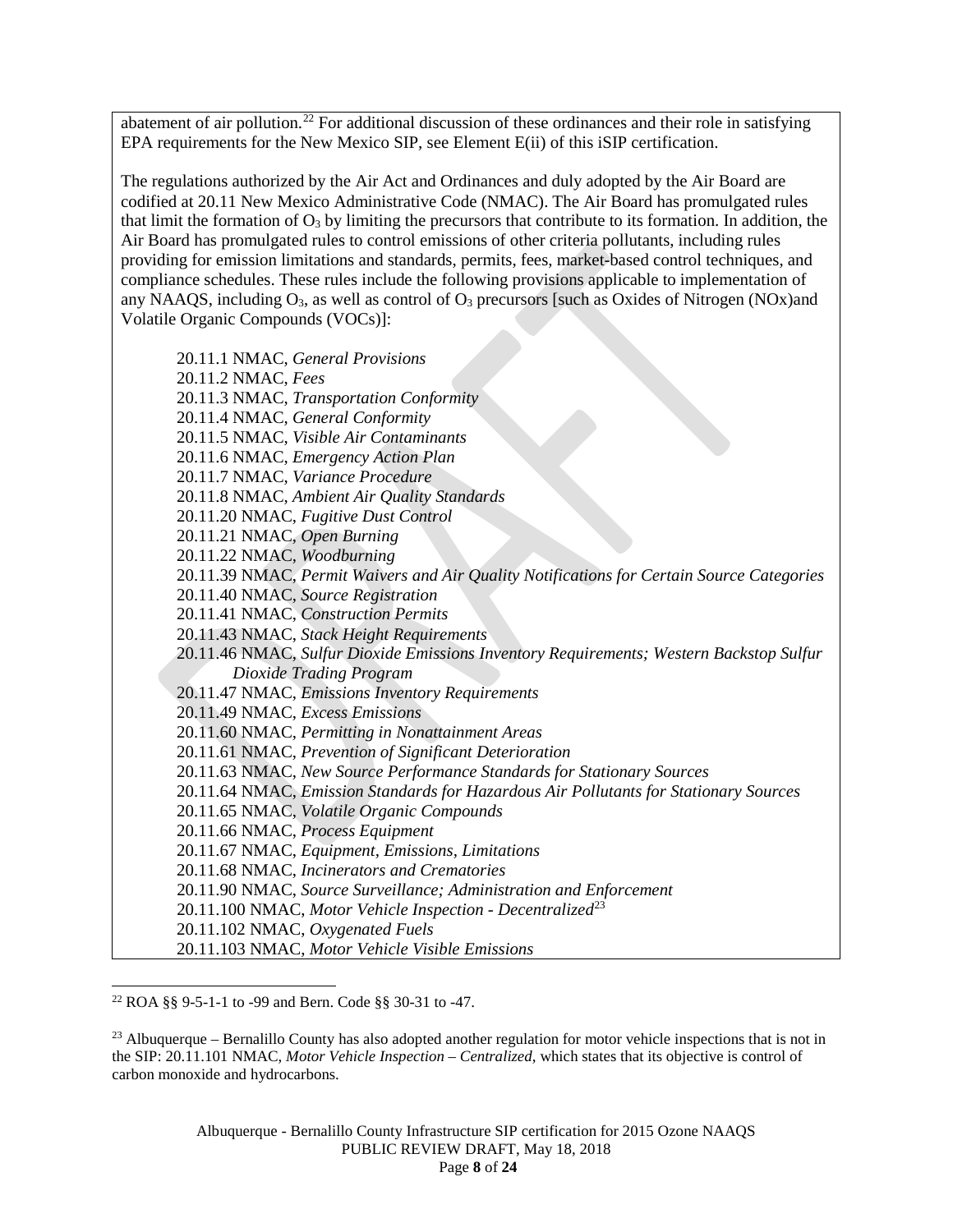abatement of air pollution.<sup>[22](#page-7-0)</sup> For additional discussion of these ordinances and their role in satisfying EPA requirements for the New Mexico SIP, see Element E(ii) of this iSIP certification.

The regulations authorized by the Air Act and Ordinances and duly adopted by the Air Board are codified at 20.11 New Mexico Administrative Code (NMAC). The Air Board has promulgated rules that limit the formation of  $O_3$  by limiting the precursors that contribute to its formation. In addition, the Air Board has promulgated rules to control emissions of other criteria pollutants, including rules providing for emission limitations and standards, permits, fees, market-based control techniques, and compliance schedules. These rules include the following provisions applicable to implementation of any NAAQS, including  $O_3$ , as well as control of  $O_3$  precursors [such as Oxides of Nitrogen (NOx)and Volatile Organic Compounds (VOCs)]:

20.11.1 NMAC, *General Provisions* 20.11.2 NMAC, *Fees* 20.11.3 NMAC, *Transportation Conformity* 20.11.4 NMAC, *General Conformity* 20.11.5 NMAC, *Visible Air Contaminants* 20.11.6 NMAC, *Emergency Action Plan* 20.11.7 NMAC, *Variance Procedure* 20.11.8 NMAC, *Ambient Air Quality Standards* 20.11.20 NMAC, *Fugitive Dust Control* 20.11.21 NMAC, *Open Burning* 20.11.22 NMAC, *Woodburning* 20.11.39 NMAC, *Permit Waivers and Air Quality Notifications for Certain Source Categories* 20.11.40 NMAC, *Source Registration* 20.11.41 NMAC, *Construction Permits* 20.11.43 NMAC, *Stack Height Requirements* 20.11.46 NMAC, *Sulfur Dioxide Emissions Inventory Requirements; Western Backstop Sulfur Dioxide Trading Program* 20.11.47 NMAC, *Emissions Inventory Requirements* 20.11.49 NMAC, *Excess Emissions* 20.11.60 NMAC, *Permitting in Nonattainment Areas* 20.11.61 NMAC, *Prevention of Significant Deterioration* 20.11.63 NMAC, *New Source Performance Standards for Stationary Sources* 20.11.64 NMAC, *Emission Standards for Hazardous Air Pollutants for Stationary Sources* 20.11.65 NMAC, *Volatile Organic Compounds* 20.11.66 NMAC, *Process Equipment* 20.11.67 NMAC, *Equipment, Emissions, Limitations* 20.11.68 NMAC, *Incinerators and Crematories* 20.11.90 NMAC, *Source Surveillance; Administration and Enforcement* 20.11.100 NMAC, *Motor Vehicle Inspection - Decentralized*[23](#page-7-1) 20.11.102 NMAC, *Oxygenated Fuels* 20.11.103 NMAC, *Motor Vehicle Visible Emissions*

<span id="page-7-0"></span> <sup>22</sup> ROA §§ 9-5-1-1 to -99 and Bern. Code §§ 30-31 to -47.

<span id="page-7-1"></span> $^{23}$  Albuquerque – Bernalillo County has also adopted another regulation for motor vehicle inspections that is not in the SIP: 20.11.101 NMAC, *Motor Vehicle Inspection – Centralized*, which states that its objective is control of carbon monoxide and hydrocarbons.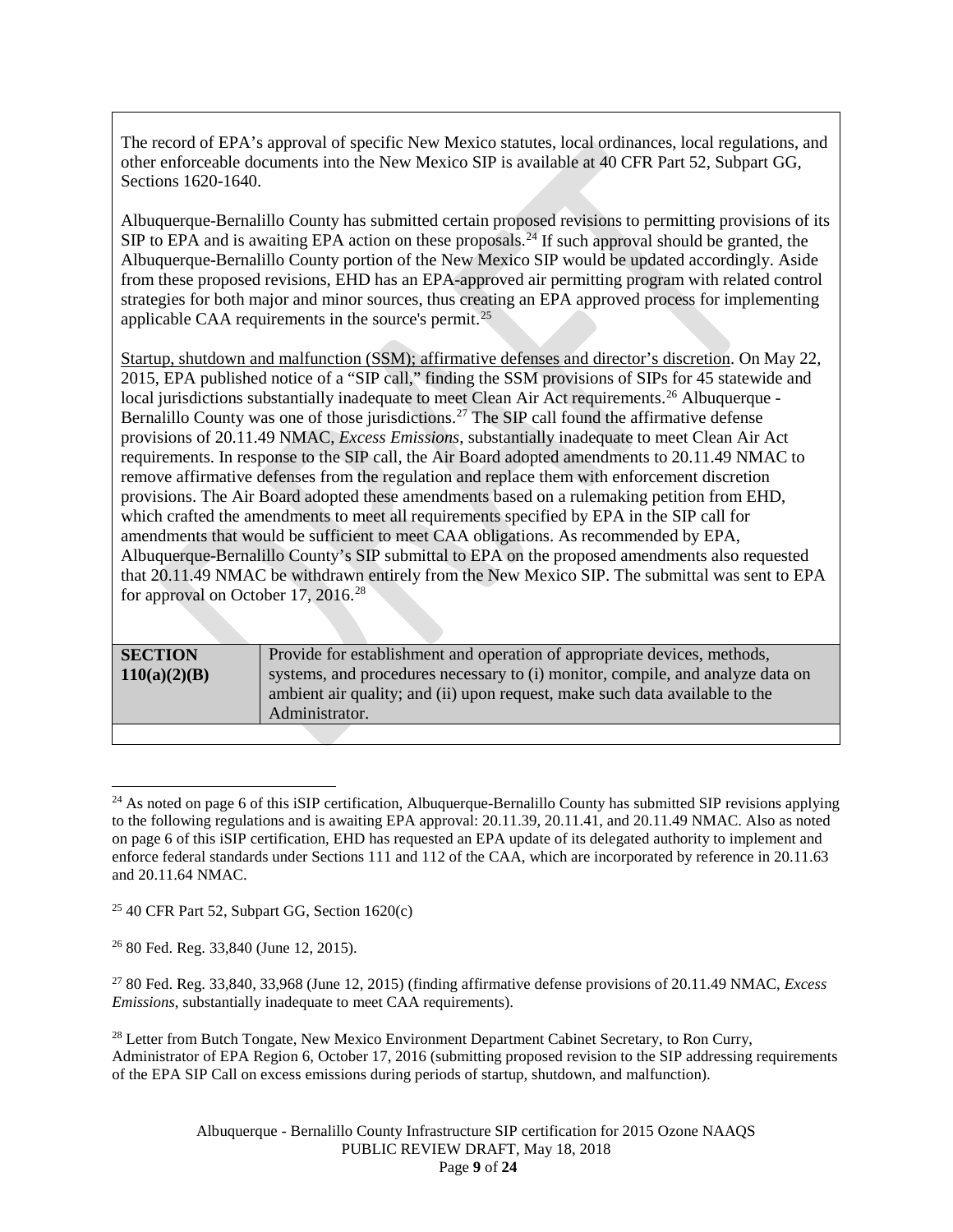The record of EPA's approval of specific New Mexico statutes, local ordinances, local regulations, and other enforceable documents into the New Mexico SIP is available at 40 CFR Part 52, Subpart GG, Sections 1620-1640.

Albuquerque-Bernalillo County has submitted certain proposed revisions to permitting provisions of its SIP to EPA and is awaiting EPA action on these proposals.<sup>[24](#page-8-0)</sup> If such approval should be granted, the Albuquerque-Bernalillo County portion of the New Mexico SIP would be updated accordingly. Aside from these proposed revisions, EHD has an EPA-approved air permitting program with related control strategies for both major and minor sources, thus creating an EPA approved process for implementing applicable CAA requirements in the source's permit.[25](#page-8-1)

Startup, shutdown and malfunction (SSM); affirmative defenses and director's discretion. On May 22, 2015, EPA published notice of a "SIP call," finding the SSM provisions of SIPs for 45 statewide and local jurisdictions substantially inadequate to meet Clean Air Act requirements.<sup>[26](#page-8-2)</sup> Albuquerque -Bernalillo County was one of those jurisdictions.<sup>[27](#page-8-3)</sup> The SIP call found the affirmative defense provisions of 20.11.49 NMAC, *Excess Emissions*, substantially inadequate to meet Clean Air Act requirements. In response to the SIP call, the Air Board adopted amendments to 20.11.49 NMAC to remove affirmative defenses from the regulation and replace them with enforcement discretion provisions. The Air Board adopted these amendments based on a rulemaking petition from EHD, which crafted the amendments to meet all requirements specified by EPA in the SIP call for amendments that would be sufficient to meet CAA obligations. As recommended by EPA, Albuquerque-Bernalillo County's SIP submittal to EPA on the proposed amendments also requested that 20.11.49 NMAC be withdrawn entirely from the New Mexico SIP. The submittal was sent to EPA for approval on October 17, 2016.<sup>[28](#page-8-4)</sup>

| <b>SECTION</b> | Provide for establishment and operation of appropriate devices, methods,       |
|----------------|--------------------------------------------------------------------------------|
| 110(a)(2)(B)   | systems, and procedures necessary to (i) monitor, compile, and analyze data on |
|                | ambient air quality; and (ii) upon request, make such data available to the    |
|                | Administrator.                                                                 |
|                |                                                                                |

<span id="page-8-0"></span> $24$  As noted on page 6 of this iSIP certification, Albuquerque-Bernalillo County has submitted SIP revisions applying to the following regulations and is awaiting EPA approval: 20.11.39, 20.11.41, and 20.11.49 NMAC. Also as noted on page 6 of this iSIP certification, EHD has requested an EPA update of its delegated authority to implement and enforce federal standards under Sections 111 and 112 of the CAA, which are incorporated by reference in 20.11.63 and 20.11.64 NMAC.

<span id="page-8-1"></span> $25$  40 CFR Part 52, Subpart GG, Section 1620(c)

<span id="page-8-2"></span><sup>26</sup> 80 Fed. Reg. 33,840 (June 12, 2015).

<span id="page-8-3"></span><sup>27</sup> 80 Fed. Reg. 33,840, 33,968 (June 12, 2015) (finding affirmative defense provisions of 20.11.49 NMAC, *Excess Emissions*, substantially inadequate to meet CAA requirements).

<span id="page-8-4"></span><sup>&</sup>lt;sup>28</sup> Letter from Butch Tongate, New Mexico Environment Department Cabinet Secretary, to Ron Curry, Administrator of EPA Region 6, October 17, 2016 (submitting proposed revision to the SIP addressing requirements of the EPA SIP Call on excess emissions during periods of startup, shutdown, and malfunction).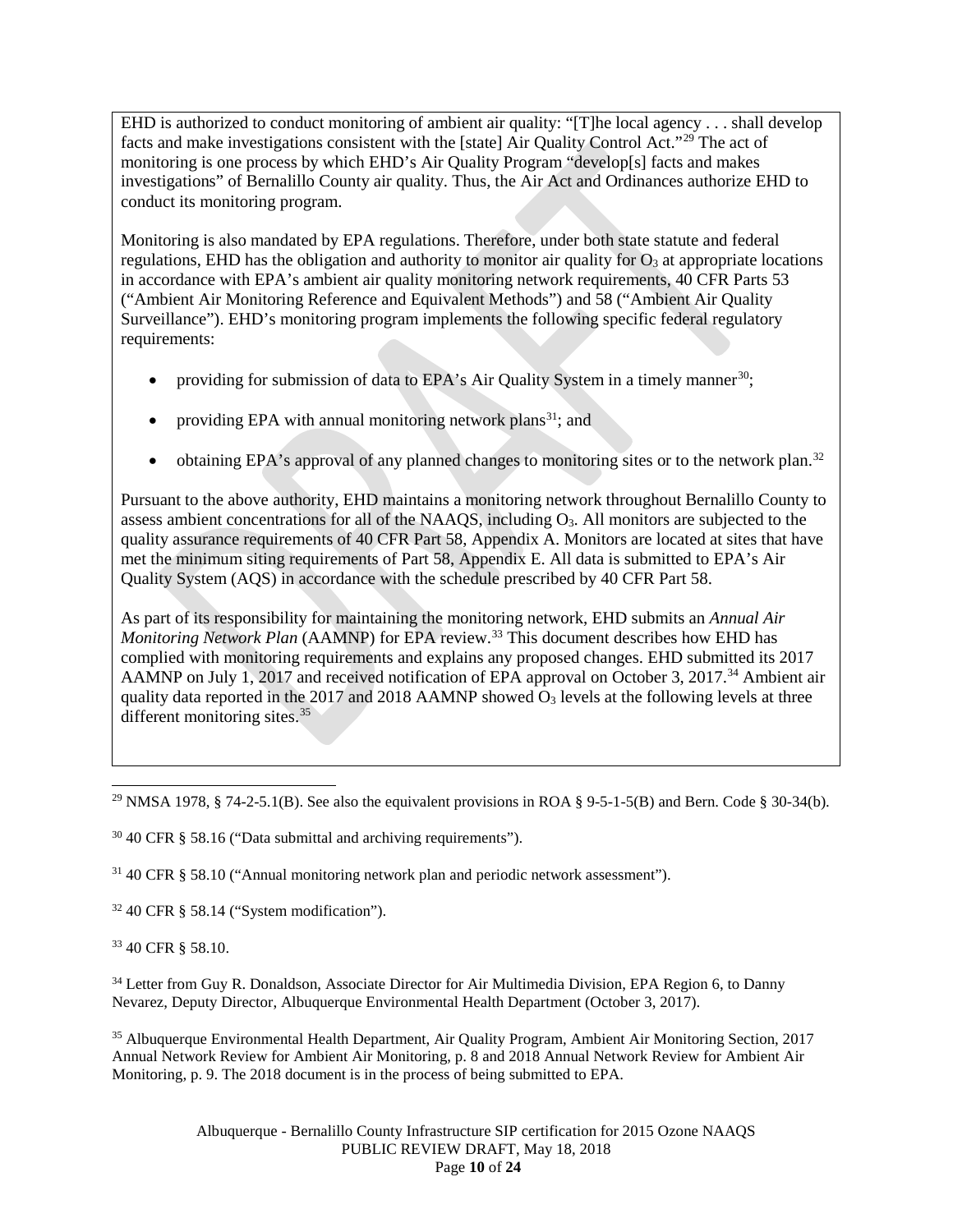EHD is authorized to conduct monitoring of ambient air quality: "[T]he local agency . . . shall develop facts and make investigations consistent with the [state] Air Quality Control Act."[29](#page-9-0) The act of monitoring is one process by which EHD's Air Quality Program "develop[s] facts and makes investigations" of Bernalillo County air quality. Thus, the Air Act and Ordinances authorize EHD to conduct its monitoring program.

Monitoring is also mandated by EPA regulations. Therefore, under both state statute and federal regulations, EHD has the obligation and authority to monitor air quality for  $O<sub>3</sub>$  at appropriate locations in accordance with EPA's ambient air quality monitoring network requirements, 40 CFR Parts 53 ("Ambient Air Monitoring Reference and Equivalent Methods") and 58 ("Ambient Air Quality Surveillance"). EHD's monitoring program implements the following specific federal regulatory requirements:

- providing for submission of data to EPA's Air Quality System in a timely manner<sup>[30](#page-9-1)</sup>;
- providing EPA with annual monitoring network plans<sup>[31](#page-9-2)</sup>; and
- obtaining EPA's approval of any planned changes to monitoring sites or to the network plan.<sup>[32](#page-9-3)</sup>

Pursuant to the above authority, EHD maintains a monitoring network throughout Bernalillo County to assess ambient concentrations for all of the NAAQS, including O3. All monitors are subjected to the quality assurance requirements of 40 CFR Part 58, Appendix A. Monitors are located at sites that have met the minimum siting requirements of Part 58, Appendix E. All data is submitted to EPA's Air Quality System (AQS) in accordance with the schedule prescribed by 40 CFR Part 58.

As part of its responsibility for maintaining the monitoring network, EHD submits an *Annual Air Monitoring Network Plan* (AAMNP) for EPA review. [33](#page-9-4) This document describes how EHD has complied with monitoring requirements and explains any proposed changes. EHD submitted its 2017 AAMNP on July 1, 2017 and received notification of EPA approval on October 3, 2017.<sup>[34](#page-9-5)</sup> Ambient air quality data reported in the 2017 and 2018 AAMNP showed  $\overline{O}_3$  levels at the following levels at three different monitoring sites. $35$ 

<span id="page-9-1"></span> $30\,40$  CFR § 58.16 ("Data submittal and archiving requirements").

<span id="page-9-2"></span><sup>31</sup> 40 CFR § 58.10 ("Annual monitoring network plan and periodic network assessment").

<span id="page-9-3"></span> $32$  40 CFR § 58.14 ("System modification").

<span id="page-9-4"></span><sup>33</sup> 40 CFR § 58.10.

<span id="page-9-5"></span><sup>34</sup> Letter from Guy R. Donaldson, Associate Director for Air Multimedia Division, EPA Region 6, to Danny Nevarez, Deputy Director, Albuquerque Environmental Health Department (October 3, 2017).

<span id="page-9-6"></span><sup>35</sup> Albuquerque Environmental Health Department, Air Quality Program, Ambient Air Monitoring Section, 2017 Annual Network Review for Ambient Air Monitoring, p. 8 and 2018 Annual Network Review for Ambient Air Monitoring, p. 9. The 2018 document is in the process of being submitted to EPA.

> Albuquerque - Bernalillo County Infrastructure SIP certification for 2015 Ozone NAAQS PUBLIC REVIEW DRAFT, May 18, 2018 Page **10** of **24**

<span id="page-9-0"></span><sup>&</sup>lt;sup>29</sup> NMSA 1978, § 74-2-5.1(B). See also the equivalent provisions in ROA § 9-5-1-5(B) and Bern. Code § 30-34(b).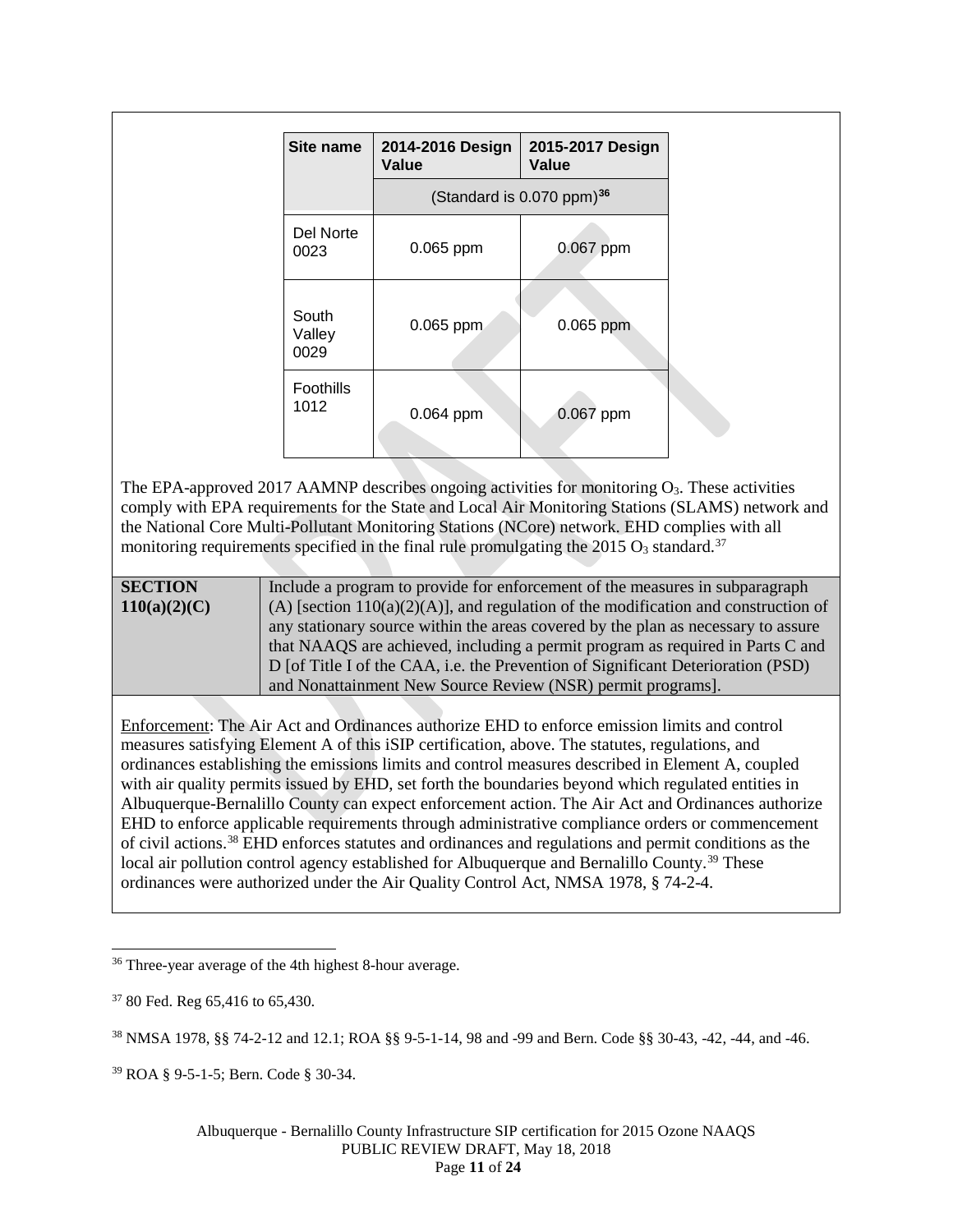| Site name               | 2014-2016 Design<br>Value | 2015-2017 Design<br>Value               |
|-------------------------|---------------------------|-----------------------------------------|
|                         |                           | (Standard is $0.070$ ppm) <sup>36</sup> |
| Del Norte<br>0023       | 0.065 ppm                 | 0.067 ppm                               |
| South<br>Valley<br>0029 | 0.065 ppm                 | 0.065 ppm                               |
| Foothills<br>1012       | 0.064 ppm                 | 0.067 ppm                               |

The EPA-approved 2017 AAMNP describes ongoing activities for monitoring  $O_3$ . These activities comply with EPA requirements for the State and Local Air Monitoring Stations (SLAMS) network and the National Core Multi-Pollutant Monitoring Stations (NCore) network. EHD complies with all monitoring requirements specified in the final rule promulgating the 2015  $O_3$  standard.<sup>[37](#page-10-1)</sup>

| <b>SECTION</b> | Include a program to provide for enforcement of the measures in subparagraph          |
|----------------|---------------------------------------------------------------------------------------|
| 110(a)(2)(C)   | (A) [section $110(a)(2)(A)$ ], and regulation of the modification and construction of |
|                | any stationary source within the areas covered by the plan as necessary to assure     |
|                | that NAAQS are achieved, including a permit program as required in Parts C and        |
|                | D [of Title I of the CAA, i.e. the Prevention of Significant Deterioration (PSD)      |
|                | and Nonattainment New Source Review (NSR) permit programs].                           |

Enforcement: The Air Act and Ordinances authorize EHD to enforce emission limits and control measures satisfying Element A of this iSIP certification, above. The statutes, regulations, and ordinances establishing the emissions limits and control measures described in Element A, coupled with air quality permits issued by EHD, set forth the boundaries beyond which regulated entities in Albuquerque-Bernalillo County can expect enforcement action. The Air Act and Ordinances authorize EHD to enforce applicable requirements through administrative compliance orders or commencement of civil actions.[38](#page-10-2) EHD enforces statutes and ordinances and regulations and permit conditions as the local air pollution control agency established for Albuquerque and Bernalillo County.<sup>[39](#page-10-3)</sup> These ordinances were authorized under the Air Quality Control Act, NMSA 1978, § 74-2-4.

<span id="page-10-3"></span><sup>39</sup> ROA § 9-5-1-5; Bern. Code § 30-34.

<span id="page-10-0"></span><sup>&</sup>lt;sup>36</sup> Three-year average of the 4th highest 8-hour average.

<span id="page-10-1"></span> $3780$  Fed. Reg 65,416 to 65,430.

<span id="page-10-2"></span><sup>38</sup> NMSA 1978, §§ 74-2-12 and 12.1; ROA §§ 9-5-1-14, 98 and -99 and Bern. Code §§ 30-43, -42, -44, and -46.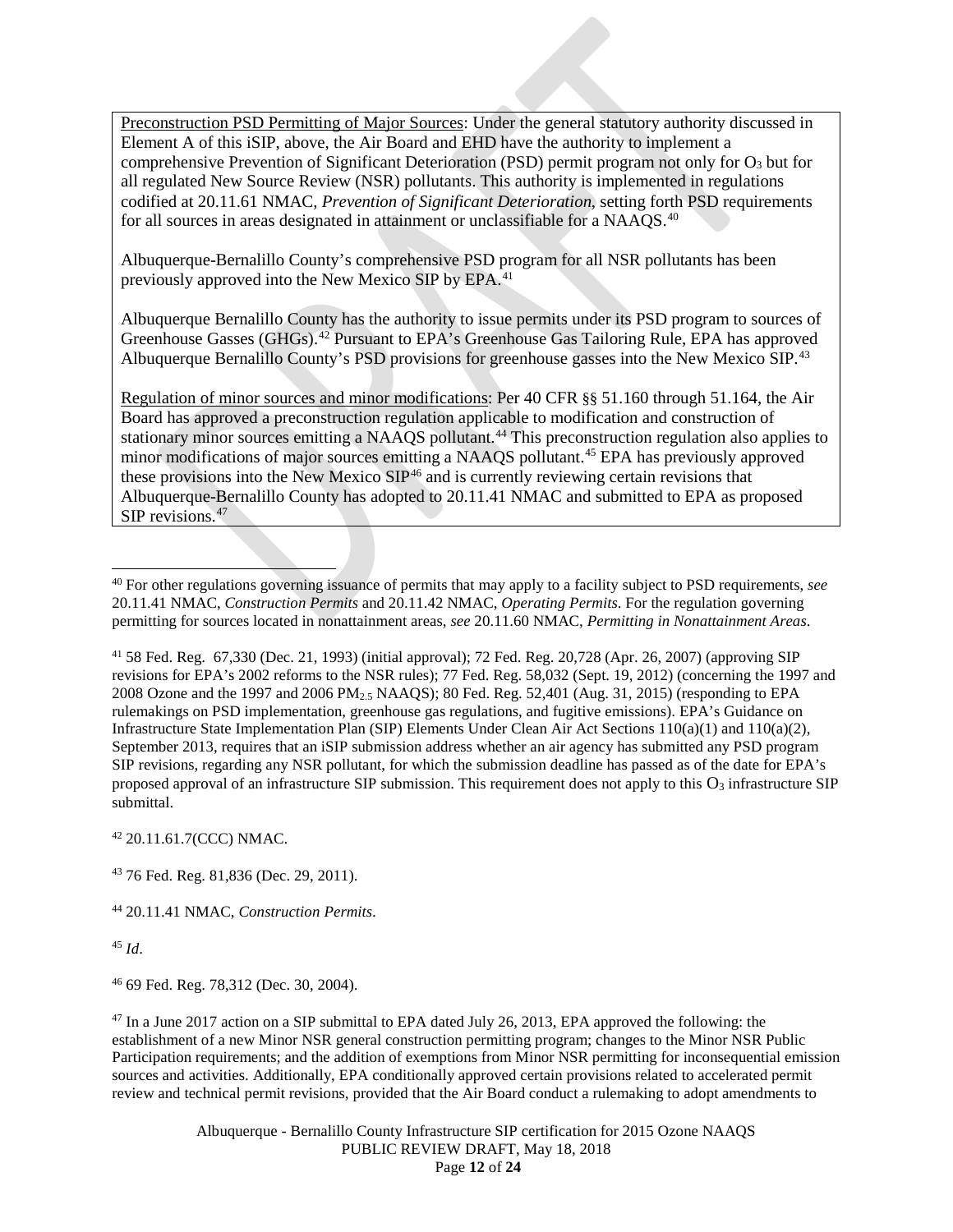Preconstruction PSD Permitting of Major Sources: Under the general statutory authority discussed in Element A of this iSIP, above, the Air Board and EHD have the authority to implement a comprehensive Prevention of Significant Deterioration (PSD) permit program not only for  $O_3$  but for all regulated New Source Review (NSR) pollutants. This authority is implemented in regulations codified at 20.11.61 NMAC, *Prevention of Significant Deterioration*, setting forth PSD requirements for all sources in areas designated in attainment or unclassifiable for a NAAQS.<sup>[40](#page-11-0)</sup>

Albuquerque-Bernalillo County's comprehensive PSD program for all NSR pollutants has been previously approved into the New Mexico SIP by EPA.<sup>[41](#page-11-1)</sup>

Albuquerque Bernalillo County has the authority to issue permits under its PSD program to sources of Greenhouse Gasses (GHGs).<sup>[42](#page-11-2)</sup> Pursuant to EPA's Greenhouse Gas Tailoring Rule, EPA has approved Albuquerque Bernalillo County's PSD provisions for greenhouse gasses into the New Mexico SIP.<sup>[43](#page-11-3)</sup>

Regulation of minor sources and minor modifications: Per 40 CFR §§ 51.160 through 51.164, the Air Board has approved a preconstruction regulation applicable to modification and construction of stationary minor sources emitting a NAAQS pollutant.<sup>[44](#page-11-4)</sup> This preconstruction regulation also applies to minor modifications of major sources emitting a NAAQS pollutant.<sup>[45](#page-11-5)</sup> EPA has previously approved these provisions into the New Mexico SIP<sup>[46](#page-11-6)</sup> and is currently reviewing certain revisions that Albuquerque-Bernalillo County has adopted to 20.11.41 NMAC and submitted to EPA as proposed SIP revisions. [47](#page-11-7)

<span id="page-11-1"></span><sup>41</sup> 58 Fed. Reg. 67,330 (Dec. 21, 1993) (initial approval); 72 Fed. Reg. 20,728 (Apr. 26, 2007) (approving SIP revisions for EPA's 2002 reforms to the NSR rules); 77 Fed. Reg. 58,032 (Sept. 19, 2012) (concerning the 1997 and 2008 Ozone and the 1997 and 2006 PM2.5 NAAQS); 80 Fed. Reg. 52,401 (Aug. 31, 2015) (responding to EPA rulemakings on PSD implementation, greenhouse gas regulations, and fugitive emissions). EPA's Guidance on Infrastructure State Implementation Plan (SIP) Elements Under Clean Air Act Sections 110(a)(1) and 110(a)(2), September 2013, requires that an iSIP submission address whether an air agency has submitted any PSD program SIP revisions, regarding any NSR pollutant, for which the submission deadline has passed as of the date for EPA's proposed approval of an infrastructure SIP submission. This requirement does not apply to this  $O_3$  infrastructure SIP submittal.

<span id="page-11-2"></span><sup>42</sup> 20.11.61.7(CCC) NMAC.

<span id="page-11-3"></span><sup>43</sup> 76 Fed. Reg. 81,836 (Dec. 29, 2011).

<span id="page-11-4"></span><sup>44</sup> 20.11.41 NMAC, *Construction Permits*.

<span id="page-11-5"></span><sup>45</sup> *Id*.

<span id="page-11-6"></span><sup>46</sup> 69 Fed. Reg. 78,312 (Dec. 30, 2004).

<span id="page-11-7"></span><sup>47</sup> In a June 2017 action on a SIP submittal to EPA dated July 26, 2013, EPA approved the following: the establishment of a new Minor NSR general construction permitting program; changes to the Minor NSR Public Participation requirements; and the addition of exemptions from Minor NSR permitting for inconsequential emission sources and activities. Additionally, EPA conditionally approved certain provisions related to accelerated permit review and technical permit revisions, provided that the Air Board conduct a rulemaking to adopt amendments to

> Albuquerque - Bernalillo County Infrastructure SIP certification for 2015 Ozone NAAQS PUBLIC REVIEW DRAFT, May 18, 2018 Page **12** of **24**

<span id="page-11-0"></span> <sup>40</sup> For other regulations governing issuance of permits that may apply to a facility subject to PSD requirements, *see* 20.11.41 NMAC, *Construction Permits* and 20.11.42 NMAC, *Operating Permits*. For the regulation governing permitting for sources located in nonattainment areas, *see* 20.11.60 NMAC, *Permitting in Nonattainment Areas*.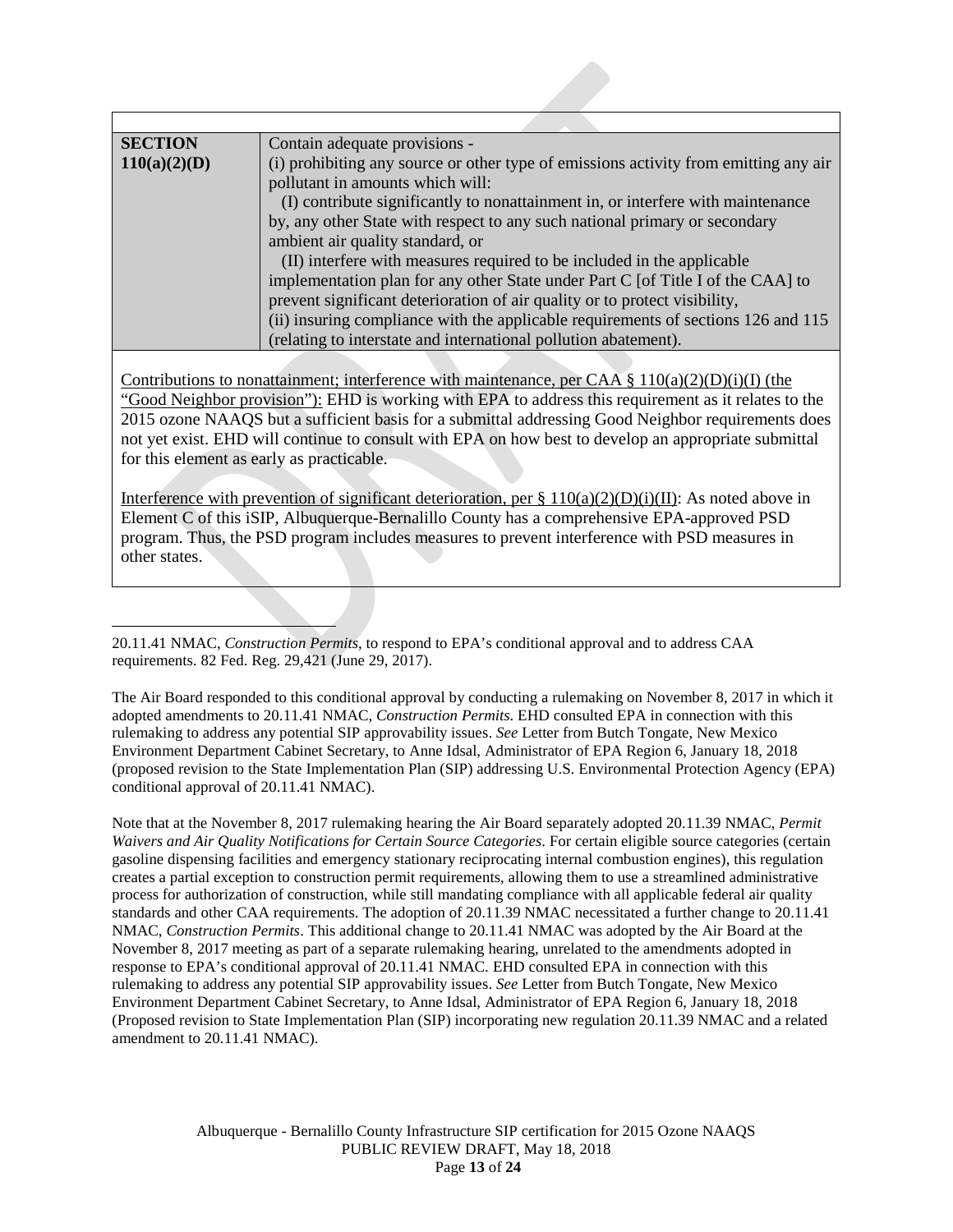| <b>SECTION</b> | Contain adequate provisions -                                                        |
|----------------|--------------------------------------------------------------------------------------|
| 110(a)(2)(D)   | (i) prohibiting any source or other type of emissions activity from emitting any air |
|                | pollutant in amounts which will:                                                     |
|                | (I) contribute significantly to nonattainment in, or interfere with maintenance      |
|                | by, any other State with respect to any such national primary or secondary           |
|                | ambient air quality standard, or                                                     |
|                | (II) interfere with measures required to be included in the applicable               |
|                | implementation plan for any other State under Part C [of Title I of the CAA] to      |
|                | prevent significant deterioration of air quality or to protect visibility,           |
|                | (ii) insuring compliance with the applicable requirements of sections 126 and 115    |
|                | (relating to interstate and international pollution abatement).                      |

Contributions to nonattainment; interference with maintenance, per CAA §  $110(a)(2)(D)(i)(I)$  (the "Good Neighbor provision"): EHD is working with EPA to address this requirement as it relates to the 2015 ozone NAAQS but a sufficient basis for a submittal addressing Good Neighbor requirements does not yet exist. EHD will continue to consult with EPA on how best to develop an appropriate submittal for this element as early as practicable.

Interference with prevention of significant deterioration, per  $\S 110(a)(2)(D)(i)(II)$ : As noted above in Element C of this iSIP, Albuquerque-Bernalillo County has a comprehensive EPA-approved PSD program. Thus, the PSD program includes measures to prevent interference with PSD measures in other states.

 $\overline{a}$ 20.11.41 NMAC, *Construction Permits*, to respond to EPA's conditional approval and to address CAA requirements. 82 Fed. Reg. 29,421 (June 29, 2017).

The Air Board responded to this conditional approval by conducting a rulemaking on November 8, 2017 in which it adopted amendments to 20.11.41 NMAC, *Construction Permits*. EHD consulted EPA in connection with this rulemaking to address any potential SIP approvability issues. *See* Letter from Butch Tongate, New Mexico Environment Department Cabinet Secretary, to Anne Idsal, Administrator of EPA Region 6, January 18, 2018 (proposed revision to the State Implementation Plan (SIP) addressing U.S. Environmental Protection Agency (EPA) conditional approval of 20.11.41 NMAC).

Note that at the November 8, 2017 rulemaking hearing the Air Board separately adopted 20.11.39 NMAC, *Permit Waivers and Air Quality Notifications for Certain Source Categories*. For certain eligible source categories (certain gasoline dispensing facilities and emergency stationary reciprocating internal combustion engines), this regulation creates a partial exception to construction permit requirements, allowing them to use a streamlined administrative process for authorization of construction, while still mandating compliance with all applicable federal air quality standards and other CAA requirements. The adoption of 20.11.39 NMAC necessitated a further change to 20.11.41 NMAC, *Construction Permits*. This additional change to 20.11.41 NMAC was adopted by the Air Board at the November 8, 2017 meeting as part of a separate rulemaking hearing, unrelated to the amendments adopted in response to EPA's conditional approval of 20.11.41 NMAC. EHD consulted EPA in connection with this rulemaking to address any potential SIP approvability issues. *See* Letter from Butch Tongate, New Mexico Environment Department Cabinet Secretary, to Anne Idsal, Administrator of EPA Region 6, January 18, 2018 (Proposed revision to State Implementation Plan (SIP) incorporating new regulation 20.11.39 NMAC and a related amendment to 20.11.41 NMAC).

> Albuquerque - Bernalillo County Infrastructure SIP certification for 2015 Ozone NAAQS PUBLIC REVIEW DRAFT, May 18, 2018 Page **13** of **24**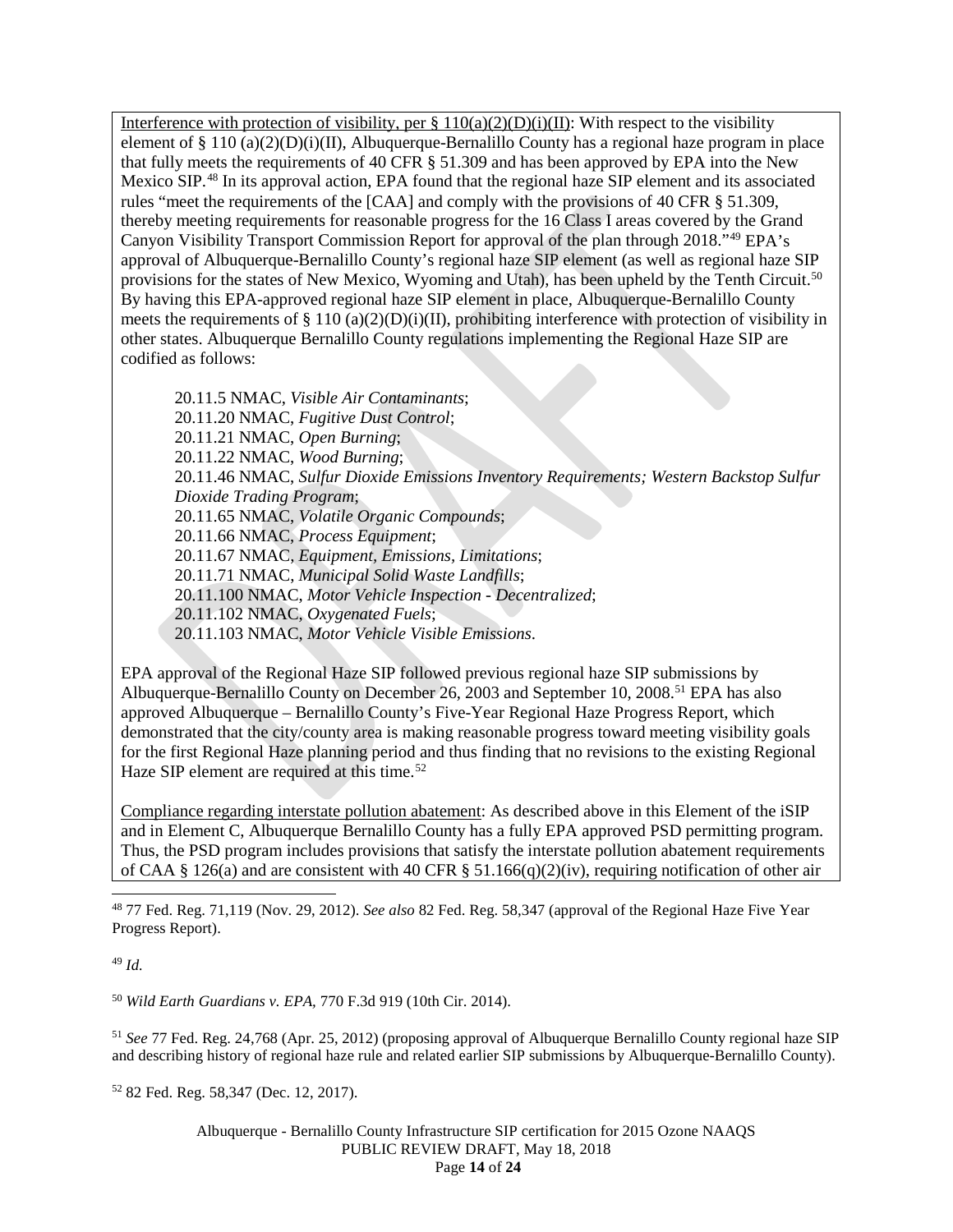Interference with protection of visibility, per  $\S 110(a)(2)(D)(i)(II)$ : With respect to the visibility element of  $\S 110 (a)(2)(D)(i)(II)$ , Albuquerque-Bernalillo County has a regional haze program in place that fully meets the requirements of 40 CFR § 51.309 and has been approved by EPA into the New Mexico SIP.<sup>[48](#page-13-0)</sup> In its approval action, EPA found that the regional haze SIP element and its associated rules "meet the requirements of the [CAA] and comply with the provisions of 40 CFR § 51.309, thereby meeting requirements for reasonable progress for the 16 Class I areas covered by the Grand Canyon Visibility Transport Commission Report for approval of the plan through 2018."[49](#page-13-1) EPA's approval of Albuquerque-Bernalillo County's regional haze SIP element (as well as regional haze SIP provisions for the states of New Mexico, Wyoming and Utah), has been upheld by the Tenth Circuit.<sup>[50](#page-13-2)</sup> By having this EPA-approved regional haze SIP element in place, Albuquerque-Bernalillo County meets the requirements of  $\S 110 (a)(2)(D)(i)(II)$ , prohibiting interference with protection of visibility in other states. Albuquerque Bernalillo County regulations implementing the Regional Haze SIP are codified as follows:

20.11.5 NMAC, *Visible Air Contaminants*; 20.11.20 NMAC, *Fugitive Dust Control*; 20.11.21 NMAC, *Open Burning*; 20.11.22 NMAC, *Wood Burning*; 20.11.46 NMAC, *Sulfur Dioxide Emissions Inventory Requirements; Western Backstop Sulfur Dioxide Trading Program*; 20.11.65 NMAC, *Volatile Organic Compounds*; 20.11.66 NMAC, *Process Equipment*; 20.11.67 NMAC, *Equipment, Emissions, Limitations*; 20.11.71 NMAC, *Municipal Solid Waste Landfills*; 20.11.100 NMAC, *Motor Vehicle Inspection - Decentralized*; 20.11.102 NMAC, *Oxygenated Fuels*; 20.11.103 NMAC, *Motor Vehicle Visible Emissions*.

EPA approval of the Regional Haze SIP followed previous regional haze SIP submissions by Albuquerque-Bernalillo County on December 26, 2003 and September 10, 2008.<sup>[51](#page-13-3)</sup> EPA has also approved Albuquerque – Bernalillo County's Five-Year Regional Haze Progress Report, which demonstrated that the city/county area is making reasonable progress toward meeting visibility goals for the first Regional Haze planning period and thus finding that no revisions to the existing Regional Haze SIP element are required at this time.<sup>[52](#page-13-4)</sup>

Compliance regarding interstate pollution abatement: As described above in this Element of the iSIP and in Element C, Albuquerque Bernalillo County has a fully EPA approved PSD permitting program. Thus, the PSD program includes provisions that satisfy the interstate pollution abatement requirements of CAA § 126(a) and are consistent with 40 CFR § 51.166(q)(2)(iv), requiring notification of other air

<span id="page-13-0"></span> 48 77 Fed. Reg. 71,119 (Nov. 29, 2012). *See also* 82 Fed. Reg. 58,347 (approval of the Regional Haze Five Year Progress Report).

<span id="page-13-1"></span><sup>49</sup> *Id.*

<span id="page-13-2"></span><sup>50</sup> *Wild Earth Guardians v. EPA,* 770 F.3d 919 (10th Cir. 2014).

<span id="page-13-3"></span><sup>51</sup> *See* 77 Fed. Reg. 24,768 (Apr. 25, 2012) (proposing approval of Albuquerque Bernalillo County regional haze SIP and describing history of regional haze rule and related earlier SIP submissions by Albuquerque-Bernalillo County).

<span id="page-13-4"></span><sup>52</sup> 82 Fed. Reg. 58,347 (Dec. 12, 2017).

Albuquerque - Bernalillo County Infrastructure SIP certification for 2015 Ozone NAAQS PUBLIC REVIEW DRAFT, May 18, 2018 Page **14** of **24**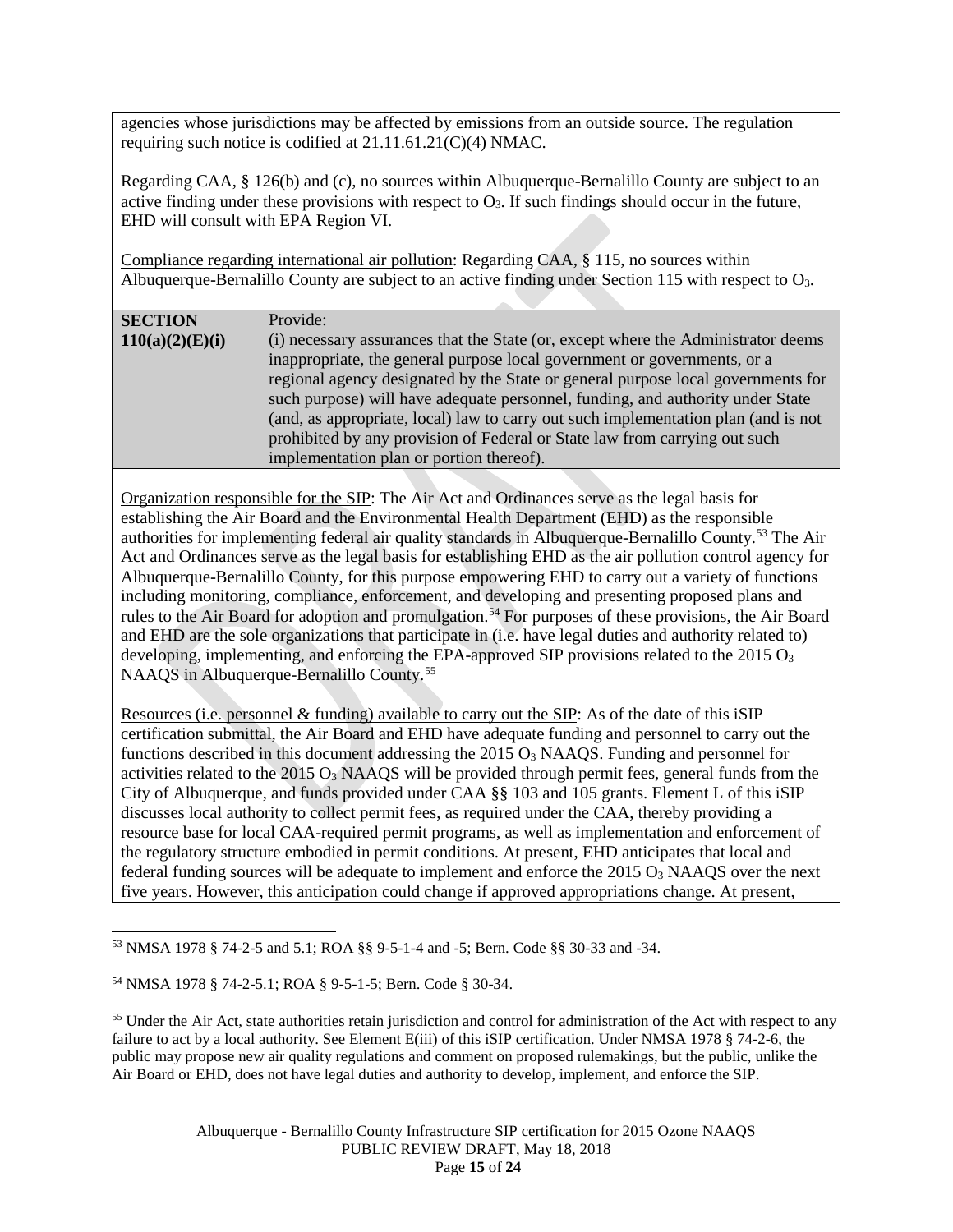agencies whose jurisdictions may be affected by emissions from an outside source. The regulation requiring such notice is codified at 21.11.61.21(C)(4) NMAC.

Regarding CAA, § 126(b) and (c), no sources within Albuquerque-Bernalillo County are subject to an active finding under these provisions with respect to  $O_3$ . If such findings should occur in the future, EHD will consult with EPA Region VI.

Compliance regarding international air pollution: Regarding CAA, § 115, no sources within Albuquerque-Bernalillo County are subject to an active finding under Section 115 with respect to O3.

| <b>SECTION</b>  | Provide:                                                                           |
|-----------------|------------------------------------------------------------------------------------|
| 110(a)(2)(E)(i) | (i) necessary assurances that the State (or, except where the Administrator deems  |
|                 | inappropriate, the general purpose local government or governments, or a           |
|                 | regional agency designated by the State or general purpose local governments for   |
|                 | such purpose) will have adequate personnel, funding, and authority under State     |
|                 | (and, as appropriate, local) law to carry out such implementation plan (and is not |
|                 | prohibited by any provision of Federal or State law from carrying out such         |
|                 | implementation plan or portion thereof).                                           |

Organization responsible for the SIP: The Air Act and Ordinances serve as the legal basis for establishing the Air Board and the Environmental Health Department (EHD) as the responsible authorities for implementing federal air quality standards in Albuquerque-Bernalillo County.[53](#page-14-0) The Air Act and Ordinances serve as the legal basis for establishing EHD as the air pollution control agency for Albuquerque-Bernalillo County, for this purpose empowering EHD to carry out a variety of functions including monitoring, compliance, enforcement, and developing and presenting proposed plans and rules to the Air Board for adoption and promulgation.<sup>[54](#page-14-1)</sup> For purposes of these provisions, the Air Board and EHD are the sole organizations that participate in (i.e. have legal duties and authority related to) developing, implementing, and enforcing the EPA-approved SIP provisions related to the  $2015 O<sub>3</sub>$ NAAQS in Albuquerque-Bernalillo County.<sup>[55](#page-14-2)</sup>

Resources (i.e. personnel & funding) available to carry out the SIP: As of the date of this iSIP certification submittal, the Air Board and EHD have adequate funding and personnel to carry out the functions described in this document addressing the 2015  $O_3$  NAAQS. Funding and personnel for activities related to the  $2015 O<sub>3</sub>$  NAAQS will be provided through permit fees, general funds from the City of Albuquerque, and funds provided under CAA §§ 103 and 105 grants. Element L of this iSIP discusses local authority to collect permit fees, as required under the CAA, thereby providing a resource base for local CAA-required permit programs, as well as implementation and enforcement of the regulatory structure embodied in permit conditions. At present, EHD anticipates that local and federal funding sources will be adequate to implement and enforce the  $2015 O<sub>3</sub>$  NAAQS over the next five years. However, this anticipation could change if approved appropriations change. At present,

<span id="page-14-0"></span> <sup>53</sup> NMSA 1978 § 74-2-5 and 5.1; ROA §§ 9-5-1-4 and -5; Bern. Code §§ 30-33 and -34.

<span id="page-14-1"></span><sup>54</sup> NMSA 1978 § 74-2-5.1; ROA § 9-5-1-5; Bern. Code § 30-34.

<span id="page-14-2"></span><sup>&</sup>lt;sup>55</sup> Under the Air Act, state authorities retain jurisdiction and control for administration of the Act with respect to any failure to act by a local authority. See Element E(iii) of this iSIP certification. Under NMSA 1978 § 74-2-6, the public may propose new air quality regulations and comment on proposed rulemakings, but the public, unlike the Air Board or EHD, does not have legal duties and authority to develop, implement, and enforce the SIP.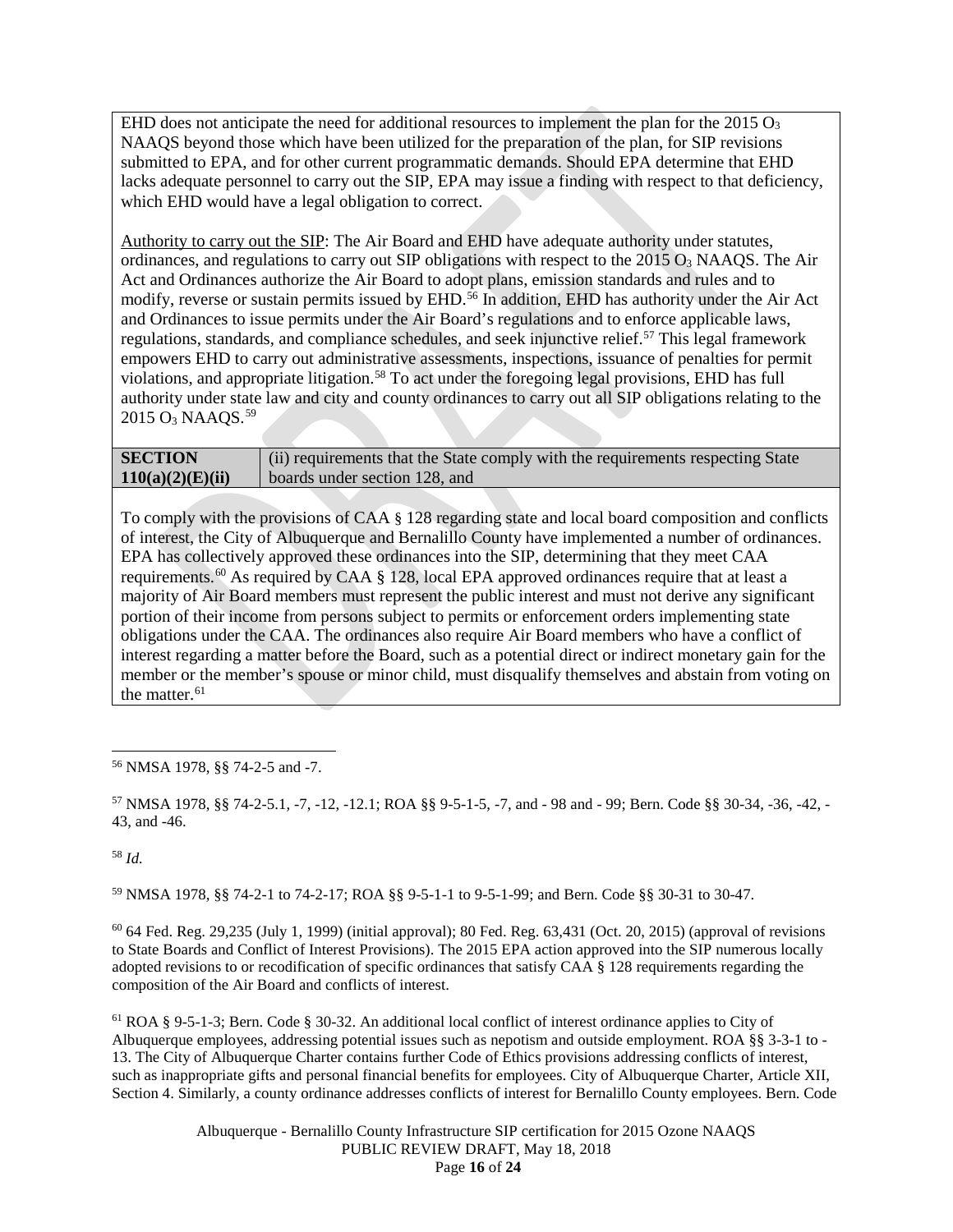EHD does not anticipate the need for additional resources to implement the plan for the  $2015 O<sub>3</sub>$ NAAQS beyond those which have been utilized for the preparation of the plan, for SIP revisions submitted to EPA, and for other current programmatic demands. Should EPA determine that EHD lacks adequate personnel to carry out the SIP, EPA may issue a finding with respect to that deficiency, which EHD would have a legal obligation to correct.

Authority to carry out the SIP: The Air Board and EHD have adequate authority under statutes, ordinances, and regulations to carry out SIP obligations with respect to the  $2015 O<sub>3</sub>$  NAAQS. The Air Act and Ordinances authorize the Air Board to adopt plans, emission standards and rules and to modify, reverse or sustain permits issued by EHD. [56](#page-15-0) In addition, EHD has authority under the Air Act and Ordinances to issue permits under the Air Board's regulations and to enforce applicable laws, regulations, standards, and compliance schedules, and seek injunctive relief.<sup>[57](#page-15-1)</sup> This legal framework empowers EHD to carry out administrative assessments, inspections, issuance of penalties for permit violations, and appropriate litigation. [58](#page-15-2) To act under the foregoing legal provisions, EHD has full authority under state law and city and county ordinances to carry out all SIP obligations relating to the 2015 O<sub>3</sub> NAAQS.<sup>[59](#page-15-3)</sup>

| <b>SECTION</b>   | (ii) requirements that the State comply with the requirements respecting State |
|------------------|--------------------------------------------------------------------------------|
| 110(a)(2)(E)(ii) | boards under section 128, and                                                  |

To comply with the provisions of CAA § 128 regarding state and local board composition and conflicts of interest, the City of Albuquerque and Bernalillo County have implemented a number of ordinances. EPA has collectively approved these ordinances into the SIP, determining that they meet CAA requirements.<sup>[60](#page-15-4)</sup> As required by CAA § 128, local EPA approved ordinances require that at least a majority of Air Board members must represent the public interest and must not derive any significant portion of their income from persons subject to permits or enforcement orders implementing state obligations under the CAA. The ordinances also require Air Board members who have a conflict of interest regarding a matter before the Board, such as a potential direct or indirect monetary gain for the member or the member's spouse or minor child, must disqualify themselves and abstain from voting on the matter. $61$ 

<span id="page-15-0"></span>56 NMSA 1978, §§ 74-2-5 and -7.

<span id="page-15-1"></span><sup>57</sup> NMSA 1978, §§ 74-2-5.1, -7, -12, -12.1; ROA §§ 9-5-1-5, -7, and - 98 and - 99; Bern. Code §§ 30-34, -36, -42, - 43, and -46.

<span id="page-15-2"></span><sup>58</sup> *Id.*

<span id="page-15-3"></span><sup>59</sup> NMSA 1978, §§ 74-2-1 to 74-2-17; ROA §§ 9-5-1-1 to 9-5-1-99; and Bern. Code §§ 30-31 to 30-47.

<span id="page-15-4"></span> $^{60}$  64 Fed. Reg. 29,235 (July 1, 1999) (initial approval); 80 Fed. Reg. 63,431 (Oct. 20, 2015) (approval of revisions to State Boards and Conflict of Interest Provisions). The 2015 EPA action approved into the SIP numerous locally adopted revisions to or recodification of specific ordinances that satisfy CAA § 128 requirements regarding the composition of the Air Board and conflicts of interest.

<span id="page-15-5"></span><sup>61</sup> ROA § 9-5-1-3; Bern. Code § 30-32. An additional local conflict of interest ordinance applies to City of Albuquerque employees, addressing potential issues such as nepotism and outside employment. ROA §§ 3-3-1 to - 13. The City of Albuquerque Charter contains further Code of Ethics provisions addressing conflicts of interest, such as inappropriate gifts and personal financial benefits for employees. City of Albuquerque Charter, Article XII, Section 4. Similarly, a county ordinance addresses conflicts of interest for Bernalillo County employees. Bern. Code

> Albuquerque - Bernalillo County Infrastructure SIP certification for 2015 Ozone NAAQS PUBLIC REVIEW DRAFT, May 18, 2018 Page **16** of **24**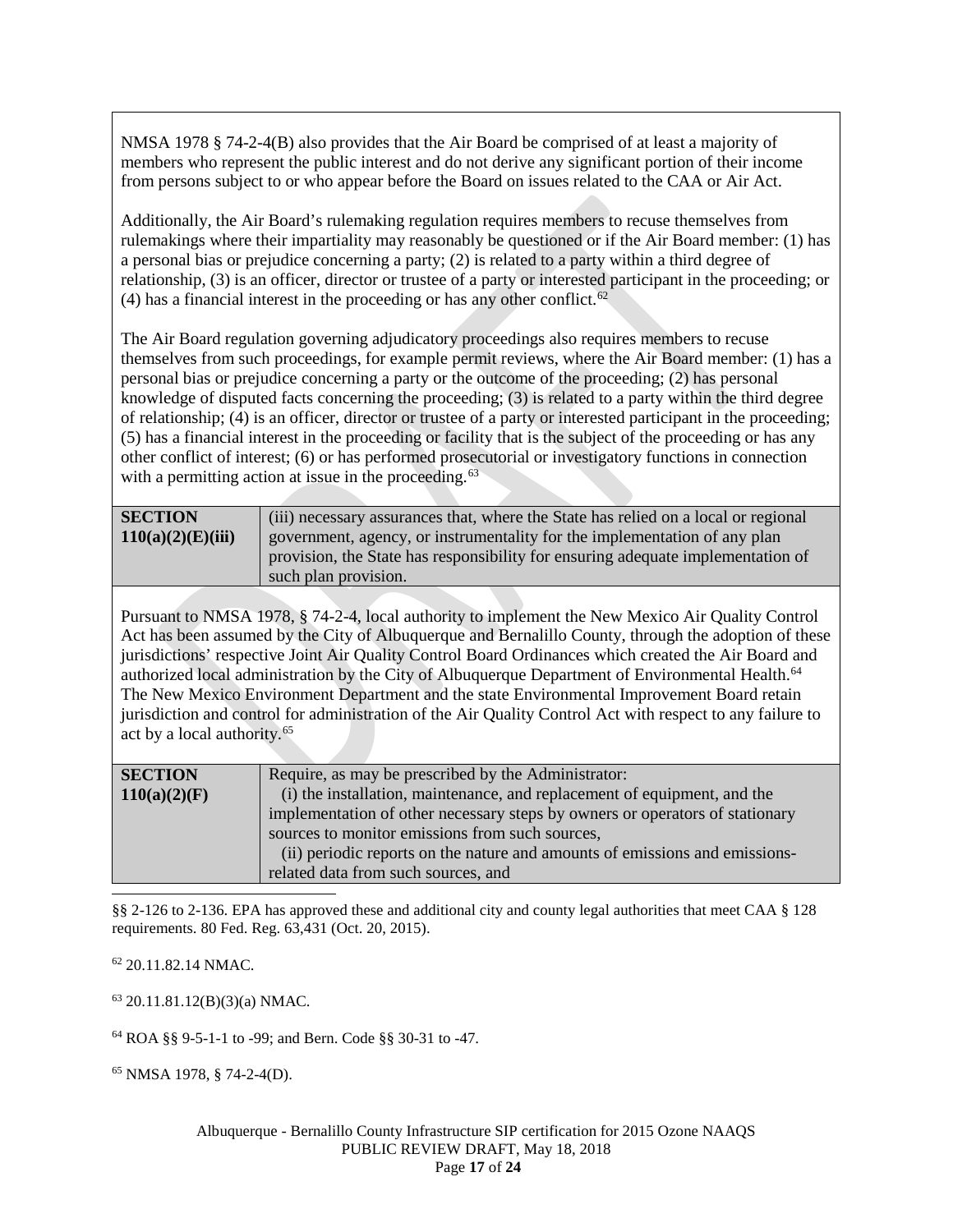NMSA 1978 § 74-2-4(B) also provides that the Air Board be comprised of at least a majority of members who represent the public interest and do not derive any significant portion of their income from persons subject to or who appear before the Board on issues related to the CAA or Air Act.

Additionally, the Air Board's rulemaking regulation requires members to recuse themselves from rulemakings where their impartiality may reasonably be questioned or if the Air Board member: (1) has a personal bias or prejudice concerning a party; (2) is related to a party within a third degree of relationship, (3) is an officer, director or trustee of a party or interested participant in the proceeding; or (4) has a financial interest in the proceeding or has any other conflict. $62$ 

The Air Board regulation governing adjudicatory proceedings also requires members to recuse themselves from such proceedings, for example permit reviews, where the Air Board member: (1) has a personal bias or prejudice concerning a party or the outcome of the proceeding; (2) has personal knowledge of disputed facts concerning the proceeding; (3) is related to a party within the third degree of relationship; (4) is an officer, director or trustee of a party or interested participant in the proceeding; (5) has a financial interest in the proceeding or facility that is the subject of the proceeding or has any other conflict of interest; (6) or has performed prosecutorial or investigatory functions in connection with a permitting action at issue in the proceeding.<sup>[63](#page-16-1)</sup>

| <b>SECTION</b>    | (iii) necessary assurances that, where the State has relied on a local or regional |
|-------------------|------------------------------------------------------------------------------------|
| 110(a)(2)(E)(iii) | government, agency, or instrumentality for the implementation of any plan          |
|                   | provision, the State has responsibility for ensuring adequate implementation of    |
|                   | such plan provision.                                                               |

Pursuant to NMSA 1978, § 74-2-4, local authority to implement the New Mexico Air Quality Control Act has been assumed by the City of Albuquerque and Bernalillo County, through the adoption of these jurisdictions' respective Joint Air Quality Control Board Ordinances which created the Air Board and authorized local administration by the City of Albuquerque Department of Environmental Health.<sup>[64](#page-16-2)</sup> The New Mexico Environment Department and the state Environmental Improvement Board retain jurisdiction and control for administration of the Air Quality Control Act with respect to any failure to act by a local authority.[65](#page-16-3)

| Require, as may be prescribed by the Administrator:                          |
|------------------------------------------------------------------------------|
| (i) the installation, maintenance, and replacement of equipment, and the     |
| implementation of other necessary steps by owners or operators of stationary |
| sources to monitor emissions from such sources,                              |
| (ii) periodic reports on the nature and amounts of emissions and emissions-  |
| related data from such sources, and                                          |
|                                                                              |
|                                                                              |

§§ 2-126 to 2-136. EPA has approved these and additional city and county legal authorities that meet CAA § 128 requirements. 80 Fed. Reg. 63,431 (Oct. 20, 2015).

<span id="page-16-0"></span><sup>62</sup> 20.11.82.14 NMAC.

<span id="page-16-1"></span> $63$  20.11.81.12(B)(3)(a) NMAC.

<span id="page-16-2"></span><sup>64</sup> ROA §§ 9-5-1-1 to -99; and Bern. Code §§ 30-31 to -47.

<span id="page-16-3"></span><sup>65</sup> NMSA 1978, § 74-2-4(D).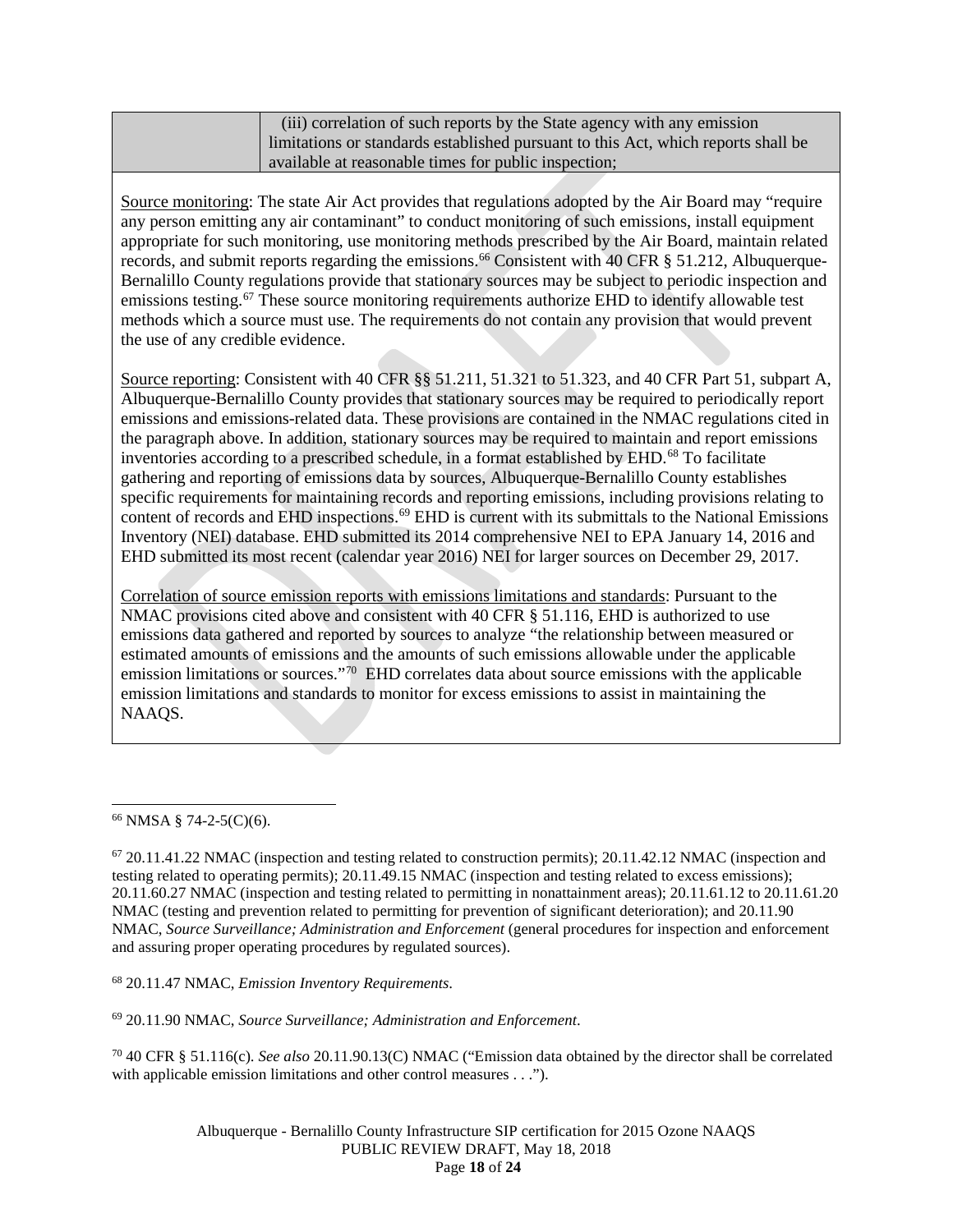| (iii) correlation of such reports by the State agency with any emission             |
|-------------------------------------------------------------------------------------|
| I limitations or standards established pursuant to this Act, which reports shall be |
| available at reasonable times for public inspection;                                |

Source monitoring: The state Air Act provides that regulations adopted by the Air Board may "require any person emitting any air contaminant" to conduct monitoring of such emissions, install equipment appropriate for such monitoring, use monitoring methods prescribed by the Air Board, maintain related records, and submit reports regarding the emissions.<sup>[66](#page-17-0)</sup> Consistent with 40 CFR § 51.212, Albuquerque-Bernalillo County regulations provide that stationary sources may be subject to periodic inspection and emissions testing.<sup>[67](#page-17-1)</sup> These source monitoring requirements authorize EHD to identify allowable test methods which a source must use. The requirements do not contain any provision that would prevent the use of any credible evidence.

Source reporting: Consistent with 40 CFR §§ 51.211, 51.321 to 51.323, and 40 CFR Part 51, subpart A, Albuquerque-Bernalillo County provides that stationary sources may be required to periodically report emissions and emissions-related data. These provisions are contained in the NMAC regulations cited in the paragraph above. In addition, stationary sources may be required to maintain and report emissions inventories according to a prescribed schedule, in a format established by EHD. [68](#page-17-2) To facilitate gathering and reporting of emissions data by sources, Albuquerque-Bernalillo County establishes specific requirements for maintaining records and reporting emissions, including provisions relating to content of records and EHD inspections. [69](#page-17-3) EHD is current with its submittals to the National Emissions Inventory (NEI) database. EHD submitted its 2014 comprehensive NEI to EPA January 14, 2016 and EHD submitted its most recent (calendar year 2016) NEI for larger sources on December 29, 2017.

Correlation of source emission reports with emissions limitations and standards: Pursuant to the NMAC provisions cited above and consistent with 40 CFR § 51.116, EHD is authorized to use emissions data gathered and reported by sources to analyze "the relationship between measured or estimated amounts of emissions and the amounts of such emissions allowable under the applicable emission limitations or sources."<sup>70</sup> EHD correlates data about source emissions with the applicable emission limitations and standards to monitor for excess emissions to assist in maintaining the NAAQS.

<span id="page-17-2"></span><sup>68</sup> 20.11.47 NMAC, *Emission Inventory Requirements*.

<span id="page-17-3"></span><sup>69</sup> 20.11.90 NMAC, *Source Surveillance; Administration and Enforcement*.

<span id="page-17-4"></span><sup>70</sup> 40 CFR § 51.116(c). *See also* 20.11.90.13(C) NMAC ("Emission data obtained by the director shall be correlated with applicable emission limitations and other control measures . . .").

> Albuquerque - Bernalillo County Infrastructure SIP certification for 2015 Ozone NAAQS PUBLIC REVIEW DRAFT, May 18, 2018 Page **18** of **24**

<span id="page-17-0"></span> <sup>66</sup> NMSA § 74-2-5(C)(6).

<span id="page-17-1"></span> $67 20.11.41.22$  NMAC (inspection and testing related to construction permits); 20.11.42.12 NMAC (inspection and testing related to operating permits); 20.11.49.15 NMAC (inspection and testing related to excess emissions); 20.11.60.27 NMAC (inspection and testing related to permitting in nonattainment areas); 20.11.61.12 to 20.11.61.20 NMAC (testing and prevention related to permitting for prevention of significant deterioration); and 20.11.90 NMAC, *Source Surveillance; Administration and Enforcement* (general procedures for inspection and enforcement and assuring proper operating procedures by regulated sources).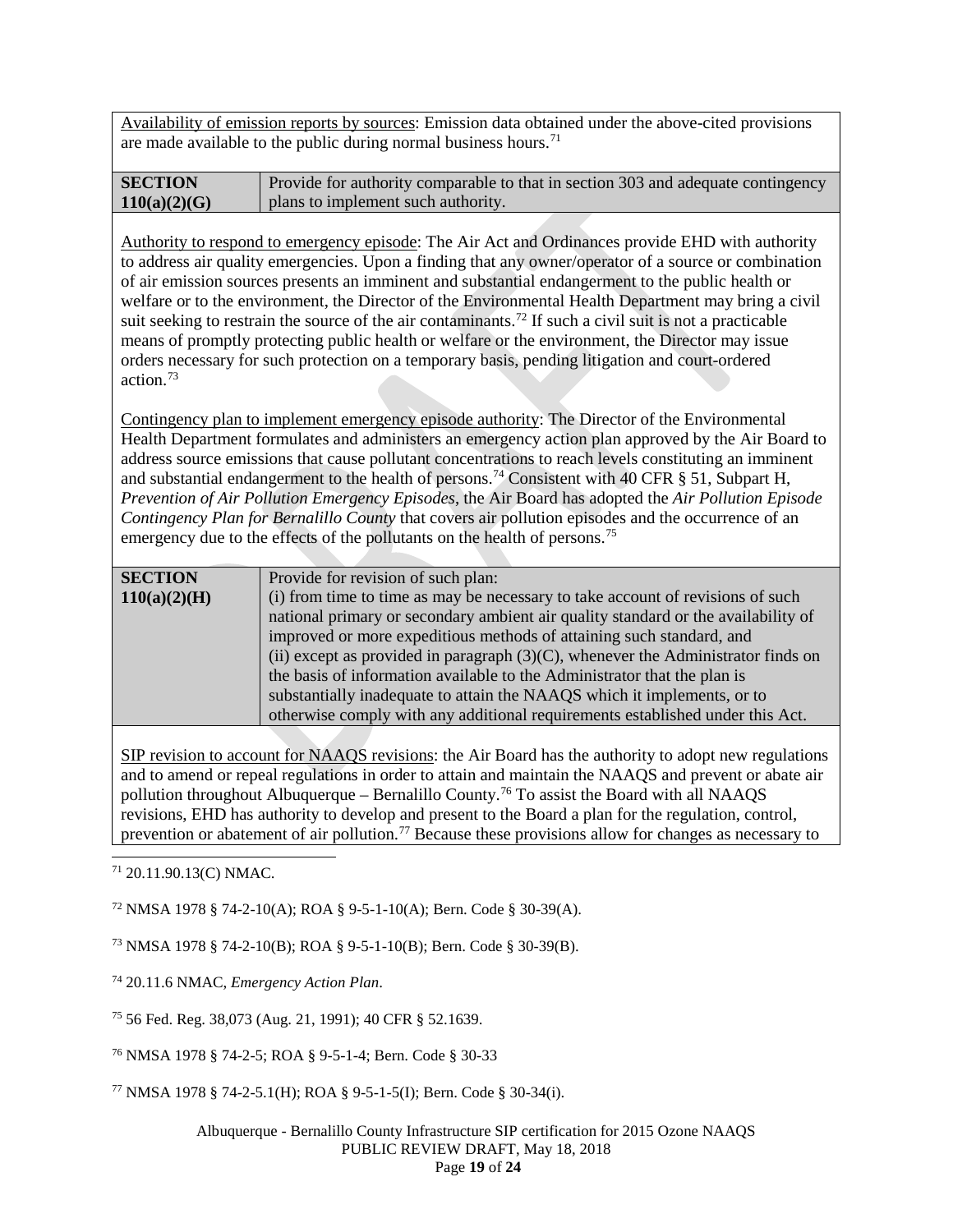Availability of emission reports by sources: Emission data obtained under the above-cited provisions are made available to the public during normal business hours.<sup>[71](#page-18-0)</sup>

| <b>SECTION</b> | Provide for authority comparable to that in section 303 and adequate contingency |
|----------------|----------------------------------------------------------------------------------|
| 110(a)(2)(G)   | plans to implement such authority.                                               |

Authority to respond to emergency episode: The Air Act and Ordinances provide EHD with authority to address air quality emergencies. Upon a finding that any owner/operator of a source or combination of air emission sources presents an imminent and substantial endangerment to the public health or welfare or to the environment, the Director of the Environmental Health Department may bring a civil suit seeking to restrain the source of the air contaminants.<sup>[72](#page-18-1)</sup> If such a civil suit is not a practicable means of promptly protecting public health or welfare or the environment, the Director may issue orders necessary for such protection on a temporary basis, pending litigation and court-ordered action. [73](#page-18-2)

Contingency plan to implement emergency episode authority: The Director of the Environmental Health Department formulates and administers an emergency action plan approved by the Air Board to address source emissions that cause pollutant concentrations to reach levels constituting an imminent and substantial endangerment to the health of persons.<sup>[74](#page-18-3)</sup> Consistent with 40 CFR § 51, Subpart H, *Prevention of Air Pollution Emergency Episodes*, the Air Board has adopted the *Air Pollution Episode Contingency Plan for Bernalillo County* that covers air pollution episodes and the occurrence of an emergency due to the effects of the pollutants on the health of persons.<sup>75</sup>

| <b>SECTION</b> | Provide for revision of such plan:                                                  |
|----------------|-------------------------------------------------------------------------------------|
| 110(a)(2)(H)   | (i) from time to time as may be necessary to take account of revisions of such      |
|                | national primary or secondary ambient air quality standard or the availability of   |
|                | improved or more expeditious methods of attaining such standard, and                |
|                | (ii) except as provided in paragraph $(3)(C)$ , whenever the Administrator finds on |
|                | the basis of information available to the Administrator that the plan is            |
|                | substantially inadequate to attain the NAAQS which it implements, or to             |
|                | otherwise comply with any additional requirements established under this Act.       |
|                |                                                                                     |

SIP revision to account for NAAQS revisions: the Air Board has the authority to adopt new regulations and to amend or repeal regulations in order to attain and maintain the NAAQS and prevent or abate air pollution throughout Albuquerque – Bernalillo County. [76](#page-18-5) To assist the Board with all NAAQS revisions, EHD has authority to develop and present to the Board a plan for the regulation, control, prevention or abatement of air pollution.<sup>[77](#page-18-6)</sup> Because these provisions allow for changes as necessary to

<span id="page-18-0"></span>71 20.11.90.13(C) NMAC.

<span id="page-18-1"></span><sup>72</sup> NMSA 1978 § 74-2-10(A); ROA § 9-5-1-10(A); Bern. Code § 30-39(A).

<span id="page-18-2"></span><sup>73</sup> NMSA 1978 § 74-2-10(B); ROA § 9-5-1-10(B); Bern. Code § 30-39(B).

<span id="page-18-3"></span><sup>74</sup> 20.11.6 NMAC, *Emergency Action Plan*.

<span id="page-18-4"></span><sup>75</sup> 56 Fed. Reg. 38,073 (Aug. 21, 1991); 40 CFR § 52.1639.

<span id="page-18-5"></span><sup>76</sup> NMSA 1978 § 74-2-5; ROA § 9-5-1-4; Bern. Code § 30-33

<span id="page-18-6"></span><sup>77</sup> NMSA 1978 § 74-2-5.1(H); ROA § 9-5-1-5(I); Bern. Code § 30-34(i).

Albuquerque - Bernalillo County Infrastructure SIP certification for 2015 Ozone NAAQS PUBLIC REVIEW DRAFT, May 18, 2018 Page **19** of **24**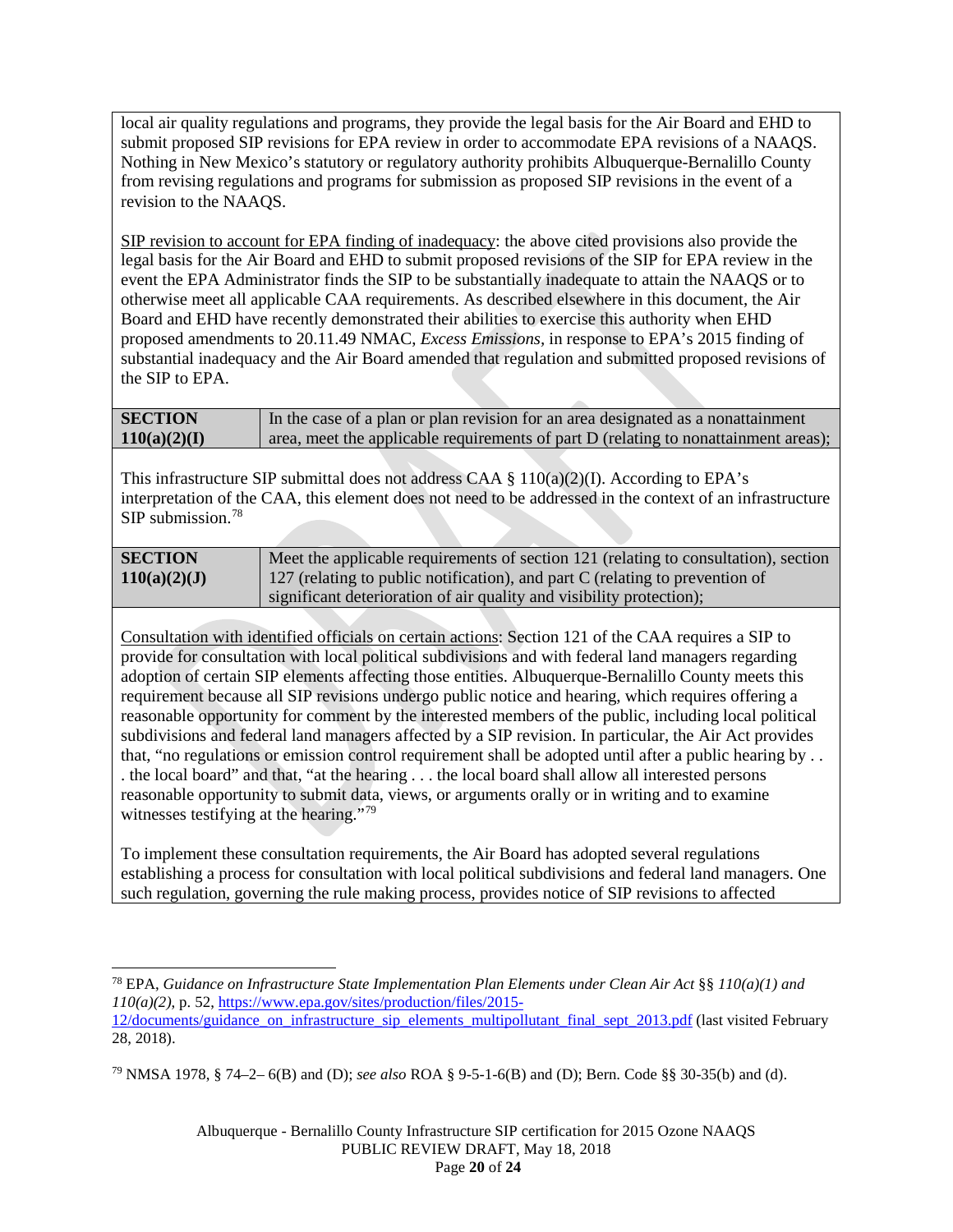local air quality regulations and programs, they provide the legal basis for the Air Board and EHD to submit proposed SIP revisions for EPA review in order to accommodate EPA revisions of a NAAQS. Nothing in New Mexico's statutory or regulatory authority prohibits Albuquerque-Bernalillo County from revising regulations and programs for submission as proposed SIP revisions in the event of a revision to the NAAQS.

SIP revision to account for EPA finding of inadequacy: the above cited provisions also provide the legal basis for the Air Board and EHD to submit proposed revisions of the SIP for EPA review in the event the EPA Administrator finds the SIP to be substantially inadequate to attain the NAAQS or to otherwise meet all applicable CAA requirements. As described elsewhere in this document, the Air Board and EHD have recently demonstrated their abilities to exercise this authority when EHD proposed amendments to 20.11.49 NMAC, *Excess Emissions,* in response to EPA's 2015 finding of substantial inadequacy and the Air Board amended that regulation and submitted proposed revisions of the SIP to EPA.

| <b>SECTION</b> | In the case of a plan or plan revision for an area designated as a nonattainment    |
|----------------|-------------------------------------------------------------------------------------|
| 110(a)(2)(I)   | area, meet the applicable requirements of part D (relating to nonattainment areas); |

This infrastructure SIP submittal does not address CAA  $\S$  110(a)(2)(I). According to EPA's interpretation of the CAA, this element does not need to be addressed in the context of an infrastructure SIP submission.[78](#page-19-0)

| <b>SECTION</b> | Meet the applicable requirements of section 121 (relating to consultation), section |
|----------------|-------------------------------------------------------------------------------------|
| 110(a)(2)(J)   | 127 (relating to public notification), and part C (relating to prevention of        |
|                | significant deterioration of air quality and visibility protection);                |

Consultation with identified officials on certain actions: Section 121 of the CAA requires a SIP to provide for consultation with local political subdivisions and with federal land managers regarding adoption of certain SIP elements affecting those entities. Albuquerque-Bernalillo County meets this requirement because all SIP revisions undergo public notice and hearing, which requires offering a reasonable opportunity for comment by the interested members of the public, including local political subdivisions and federal land managers affected by a SIP revision. In particular, the Air Act provides that, "no regulations or emission control requirement shall be adopted until after a public hearing by . . . the local board" and that, "at the hearing . . . the local board shall allow all interested persons reasonable opportunity to submit data, views, or arguments orally or in writing and to examine witnesses testifying at the hearing."<sup>[79](#page-19-1)</sup>

To implement these consultation requirements, the Air Board has adopted several regulations establishing a process for consultation with local political subdivisions and federal land managers. One such regulation, governing the rule making process, provides notice of SIP revisions to affected

<span id="page-19-1"></span><sup>79</sup> NMSA 1978, § 74–2– 6(B) and (D); *see also* ROA § 9-5-1-6(B) and (D); Bern. Code §§ 30-35(b) and (d).

<span id="page-19-0"></span> <sup>78</sup> EPA, *Guidance on Infrastructure State Implementation Plan Elements under Clean Air Act* §§ *110(a)(1) and 110(a)(2)*, p. 52, [https://www.epa.gov/sites/production/files/2015-](https://www.epa.gov/sites/production/files/2015-12/documents/guidance_on_infrastructure_sip_elements_multipollutant_final_sept_2013.pdf)

[<sup>12/</sup>documents/guidance\\_on\\_infrastructure\\_sip\\_elements\\_multipollutant\\_final\\_sept\\_2013.pdf](https://www.epa.gov/sites/production/files/2015-12/documents/guidance_on_infrastructure_sip_elements_multipollutant_final_sept_2013.pdf) (last visited February 28, 2018).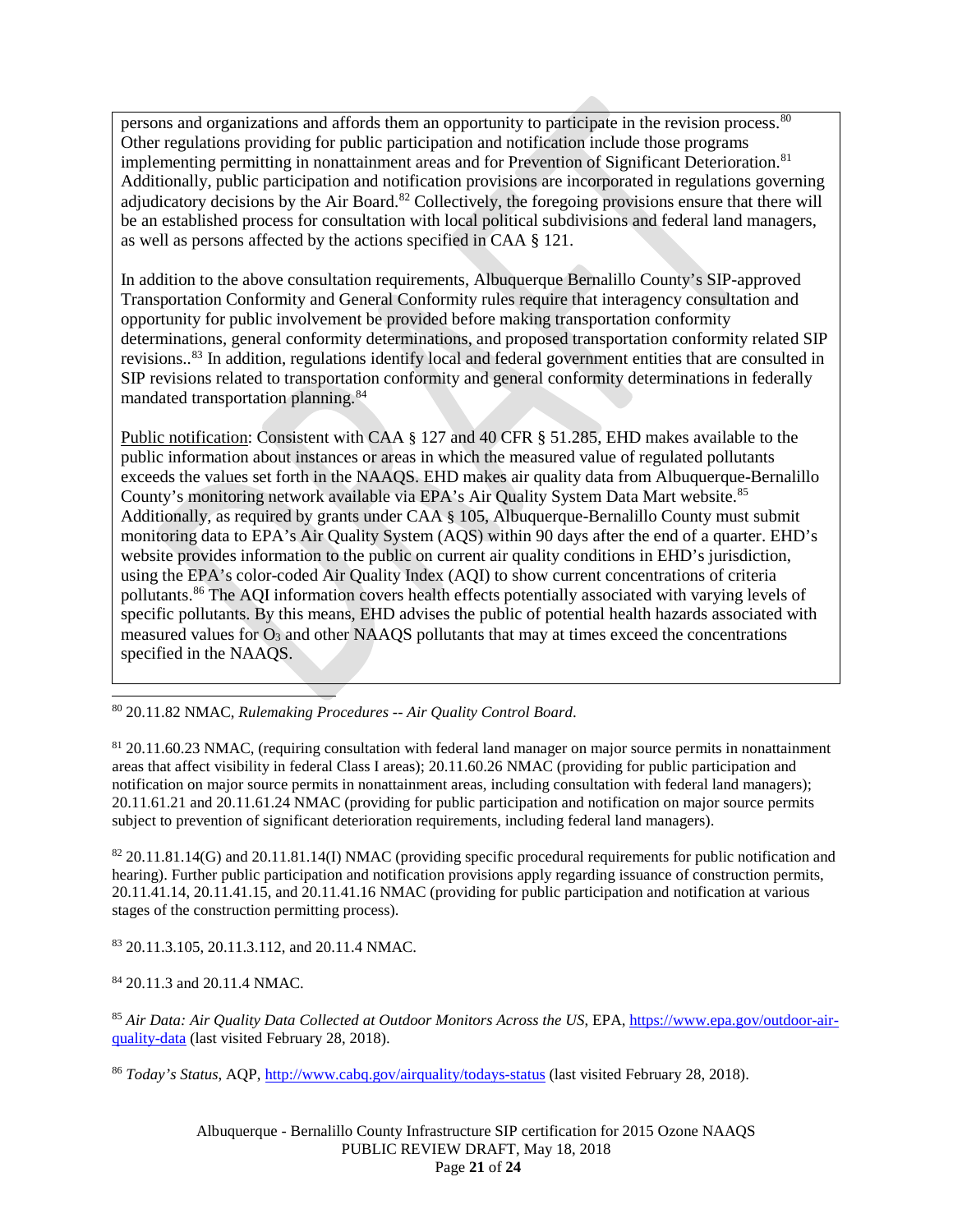persons and organizations and affords them an opportunity to participate in the revision process.<sup>[80](#page-20-0)</sup> Other regulations providing for public participation and notification include those programs implementing permitting in nonattainment areas and for Prevention of Significant Deterioration.<sup>[81](#page-20-1)</sup> Additionally, public participation and notification provisions are incorporated in regulations governing adjudicatory decisions by the Air Board.<sup>[82](#page-20-2)</sup> Collectively, the foregoing provisions ensure that there will be an established process for consultation with local political subdivisions and federal land managers, as well as persons affected by the actions specified in CAA § 121.

In addition to the above consultation requirements, Albuquerque Bernalillo County's SIP-approved Transportation Conformity and General Conformity rules require that interagency consultation and opportunity for public involvement be provided before making transportation conformity determinations, general conformity determinations, and proposed transportation conformity related SIP revisions..<sup>[83](#page-20-3)</sup> In addition, regulations identify local and federal government entities that are consulted in SIP revisions related to transportation conformity and general conformity determinations in federally mandated transportation planning.<sup>[84](#page-20-4)</sup>

Public notification: Consistent with CAA § 127 and 40 CFR § 51.285, EHD makes available to the public information about instances or areas in which the measured value of regulated pollutants exceeds the values set forth in the NAAQS. EHD makes air quality data from Albuquerque-Bernalillo County's monitoring network available via EPA's Air Quality System Data Mart website.<sup>[85](#page-20-5)</sup> Additionally, as required by grants under CAA § 105, Albuquerque-Bernalillo County must submit monitoring data to EPA's Air Quality System (AQS) within 90 days after the end of a quarter. EHD's website provides information to the public on current air quality conditions in EHD's jurisdiction, using the EPA's color-coded Air Quality Index (AQI) to show current concentrations of criteria pollutants.[86](#page-20-6) The AQI information covers health effects potentially associated with varying levels of specific pollutants. By this means, EHD advises the public of potential health hazards associated with measured values for  $O_3$  and other NAAQS pollutants that may at times exceed the concentrations specified in the NAAQS.

<span id="page-20-0"></span>80 20.11.82 NMAC, *Rulemaking Procedures -- Air Quality Control Board*.

<span id="page-20-1"></span><sup>81</sup> 20.11.60.23 NMAC, (requiring consultation with federal land manager on major source permits in nonattainment areas that affect visibility in federal Class I areas); 20.11.60.26 NMAC (providing for public participation and notification on major source permits in nonattainment areas, including consultation with federal land managers); 20.11.61.21 and 20.11.61.24 NMAC (providing for public participation and notification on major source permits subject to prevention of significant deterioration requirements, including federal land managers).

<span id="page-20-2"></span> $82$  20.11.81.14(G) and 20.11.81.14(I) NMAC (providing specific procedural requirements for public notification and hearing). Further public participation and notification provisions apply regarding issuance of construction permits, 20.11.41.14, 20.11.41.15, and 20.11.41.16 NMAC (providing for public participation and notification at various stages of the construction permitting process).

<span id="page-20-3"></span><sup>83</sup> 20.11.3.105, 20.11.3.112, and 20.11.4 NMAC.

<span id="page-20-4"></span><sup>84</sup> 20.11.3 and 20.11.4 NMAC.

<span id="page-20-5"></span><sup>85</sup> *Air Data: Air Quality Data Collected at Outdoor Monitors Across the US*, EPA[, https://www.epa.gov/outdoor-air](https://www.epa.gov/outdoor-air-quality-data)[quality-data](https://www.epa.gov/outdoor-air-quality-data) (last visited February 28, 2018).

<span id="page-20-6"></span><sup>86</sup> *Today's Status*, AQP,<http://www.cabq.gov/airquality/todays-status> (last visited February 28, 2018).

Albuquerque - Bernalillo County Infrastructure SIP certification for 2015 Ozone NAAQS PUBLIC REVIEW DRAFT, May 18, 2018 Page **21** of **24**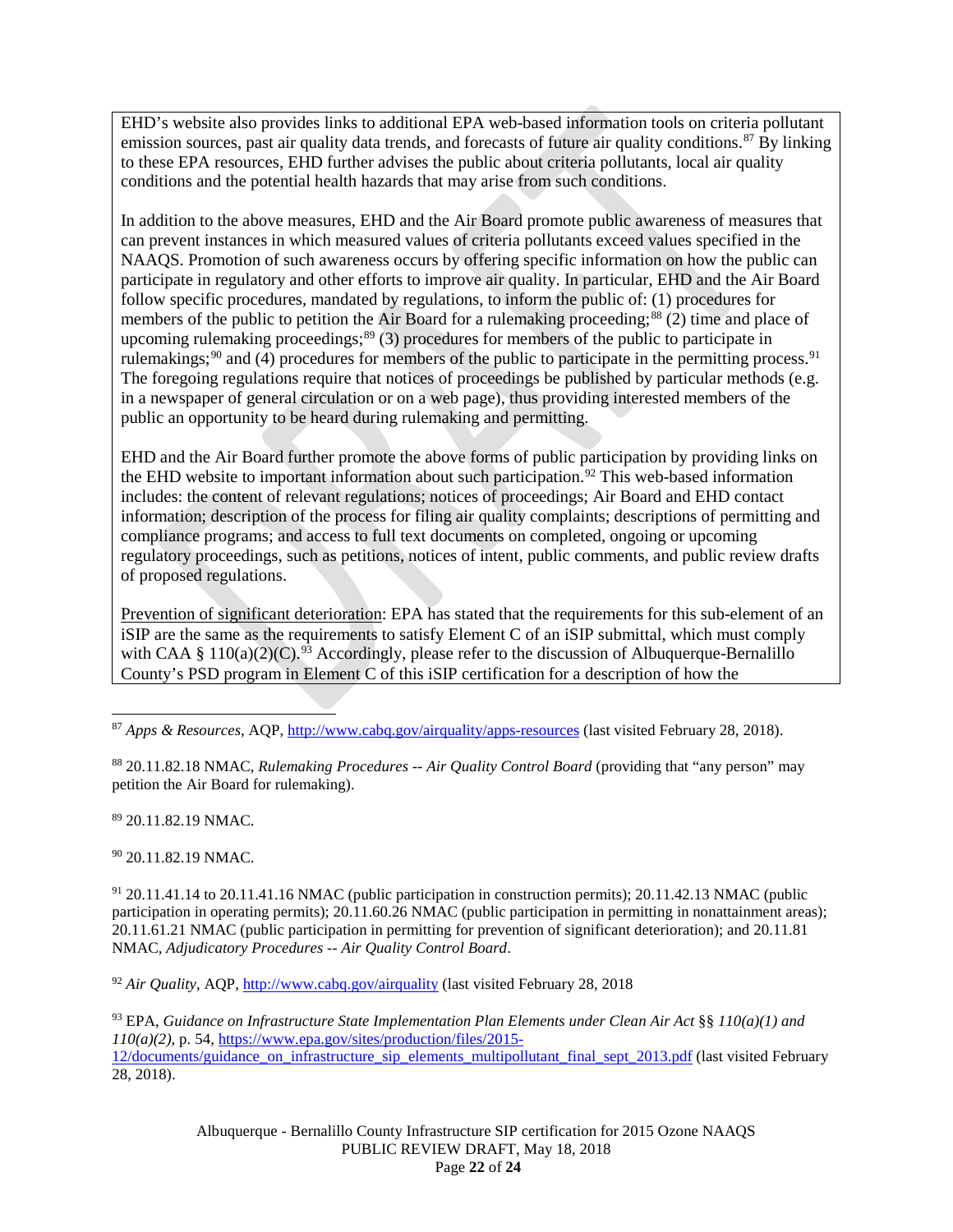EHD's website also provides links to additional EPA web-based information tools on criteria pollutant emission sources, past air quality data trends, and forecasts of future air quality conditions.<sup>[87](#page-21-0)</sup> By linking to these EPA resources, EHD further advises the public about criteria pollutants, local air quality conditions and the potential health hazards that may arise from such conditions.

In addition to the above measures, EHD and the Air Board promote public awareness of measures that can prevent instances in which measured values of criteria pollutants exceed values specified in the NAAQS. Promotion of such awareness occurs by offering specific information on how the public can participate in regulatory and other efforts to improve air quality. In particular, EHD and the Air Board follow specific procedures, mandated by regulations, to inform the public of: (1) procedures for members of the public to petition the Air Board for a rulemaking proceeding;<sup>[88](#page-21-1)</sup> (2) time and place of upcoming rulemaking proceedings;<sup>[89](#page-21-2)</sup> (3) procedures for members of the public to participate in rulemakings;<sup>[90](#page-21-3)</sup> and (4) procedures for members of the public to participate in the permitting process.<sup>[91](#page-21-4)</sup> The foregoing regulations require that notices of proceedings be published by particular methods (e.g. in a newspaper of general circulation or on a web page), thus providing interested members of the public an opportunity to be heard during rulemaking and permitting.

EHD and the Air Board further promote the above forms of public participation by providing links on the EHD website to important information about such participation.<sup>[92](#page-21-5)</sup> This web-based information includes: the content of relevant regulations; notices of proceedings; Air Board and EHD contact information; description of the process for filing air quality complaints; descriptions of permitting and compliance programs; and access to full text documents on completed, ongoing or upcoming regulatory proceedings, such as petitions, notices of intent, public comments, and public review drafts of proposed regulations.

Prevention of significant deterioration: EPA has stated that the requirements for this sub-element of an iSIP are the same as the requirements to satisfy Element C of an iSIP submittal, which must comply with CAA § 110(a)(2)(C).<sup>[93](#page-21-6)</sup> Accordingly, please refer to the discussion of Albuquerque-Bernalillo County's PSD program in Element C of this iSIP certification for a description of how the

<span id="page-21-1"></span><sup>88</sup> 20.11.82.18 NMAC, *Rulemaking Procedures -- Air Quality Control Board* (providing that "any person" may petition the Air Board for rulemaking).

<span id="page-21-2"></span><sup>89</sup> 20.11.82.19 NMAC.

<span id="page-21-3"></span><sup>90</sup> 20.11.82.19 NMAC.

<span id="page-21-4"></span> $91$  20.11.41.14 to 20.11.41.16 NMAC (public participation in construction permits); 20.11.42.13 NMAC (public participation in operating permits); 20.11.60.26 NMAC (public participation in permitting in nonattainment areas); 20.11.61.21 NMAC (public participation in permitting for prevention of significant deterioration); and 20.11.81 NMAC, *Adjudicatory Procedures -- Air Quality Control Board*.

<span id="page-21-5"></span><sup>92</sup> *Air Quality*, AQP,<http://www.cabq.gov/airquality> (last visited February 28, 2018

<span id="page-21-6"></span><sup>93</sup> EPA, *Guidance on Infrastructure State Implementation Plan Elements under Clean Air Act* §§ *110(a)(1) and 110(a)(2)*, p. 54, [https://www.epa.gov/sites/production/files/2015-](https://www.epa.gov/sites/production/files/2015-12/documents/guidance_on_infrastructure_sip_elements_multipollutant_final_sept_2013.pdf) [12/documents/guidance\\_on\\_infrastructure\\_sip\\_elements\\_multipollutant\\_final\\_sept\\_2013.pdf](https://www.epa.gov/sites/production/files/2015-12/documents/guidance_on_infrastructure_sip_elements_multipollutant_final_sept_2013.pdf) (last visited February 28, 2018).

> Albuquerque - Bernalillo County Infrastructure SIP certification for 2015 Ozone NAAQS PUBLIC REVIEW DRAFT, May 18, 2018 Page **22** of **24**

<span id="page-21-0"></span> <sup>87</sup> *Apps & Resources*, AQP,<http://www.cabq.gov/airquality/apps-resources> (last visited February 28, 2018).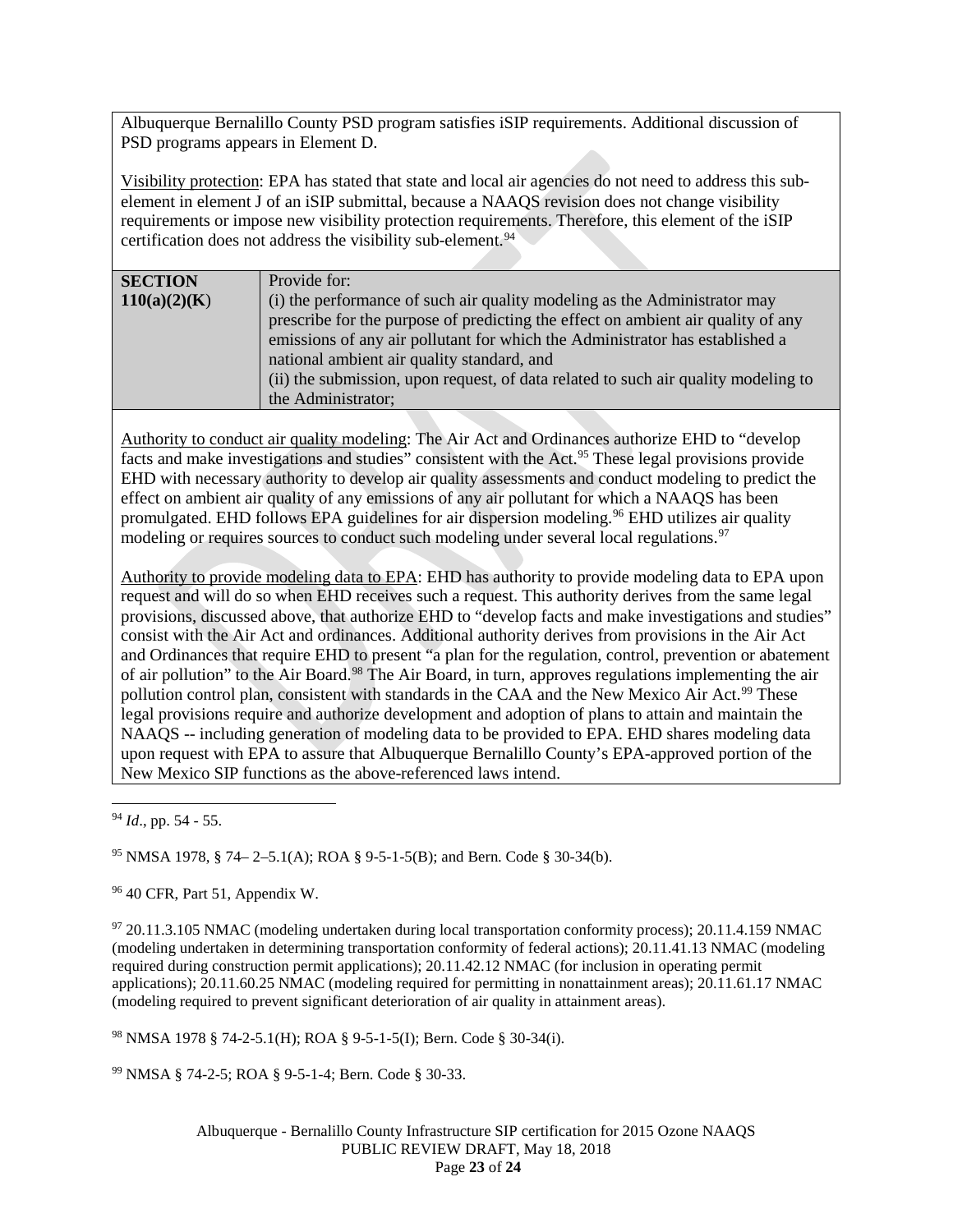Albuquerque Bernalillo County PSD program satisfies iSIP requirements. Additional discussion of PSD programs appears in Element D.

Visibility protection: EPA has stated that state and local air agencies do not need to address this subelement in element J of an iSIP submittal, because a NAAQS revision does not change visibility requirements or impose new visibility protection requirements. Therefore, this element of the iSIP certification does not address the visibility sub-element.<sup>[94](#page-22-0)</sup>

| <b>SECTION</b> | Provide for:                                                                       |
|----------------|------------------------------------------------------------------------------------|
| 110(a)(2)(K)   | (i) the performance of such air quality modeling as the Administrator may          |
|                | prescribe for the purpose of predicting the effect on ambient air quality of any   |
|                | emissions of any air pollutant for which the Administrator has established a       |
|                | national ambient air quality standard, and                                         |
|                | (ii) the submission, upon request, of data related to such air quality modeling to |
|                | the Administrator;                                                                 |
|                |                                                                                    |

Authority to conduct air quality modeling: The Air Act and Ordinances authorize EHD to "develop facts and make investigations and studies" consistent with the Act.<sup>95</sup> These legal provisions provide EHD with necessary authority to develop air quality assessments and conduct modeling to predict the effect on ambient air quality of any emissions of any air pollutant for which a NAAQS has been promulgated. EHD follows EPA guidelines for air dispersion modeling. [96](#page-22-2) EHD utilizes air quality modeling or requires sources to conduct such modeling under several local regulations.<sup>[97](#page-22-3)</sup>

Authority to provide modeling data to EPA: EHD has authority to provide modeling data to EPA upon request and will do so when EHD receives such a request. This authority derives from the same legal provisions, discussed above, that authorize EHD to "develop facts and make investigations and studies" consist with the Air Act and ordinances. Additional authority derives from provisions in the Air Act and Ordinances that require EHD to present "a plan for the regulation, control, prevention or abatement of air pollution" to the Air Board.<sup>[98](#page-22-4)</sup> The Air Board, in turn, approves regulations implementing the air pollution control plan, consistent with standards in the CAA and the New Mexico Air Act.<sup>[99](#page-22-5)</sup> These legal provisions require and authorize development and adoption of plans to attain and maintain the NAAQS -- including generation of modeling data to be provided to EPA. EHD shares modeling data upon request with EPA to assure that Albuquerque Bernalillo County's EPA-approved portion of the New Mexico SIP functions as the above-referenced laws intend.

<span id="page-22-1"></span><sup>95</sup> NMSA 1978, § 74– 2–5.1(A); ROA § 9-5-1-5(B); and Bern. Code § 30-34(b).

<span id="page-22-2"></span><sup>96</sup> 40 CFR, Part 51, Appendix W.

<span id="page-22-3"></span><sup>97</sup> 20.11.3.105 NMAC (modeling undertaken during local transportation conformity process); 20.11.4.159 NMAC (modeling undertaken in determining transportation conformity of federal actions); 20.11.41.13 NMAC (modeling required during construction permit applications); 20.11.42.12 NMAC (for inclusion in operating permit applications); 20.11.60.25 NMAC (modeling required for permitting in nonattainment areas); 20.11.61.17 NMAC (modeling required to prevent significant deterioration of air quality in attainment areas).

<span id="page-22-4"></span><sup>98</sup> NMSA 1978 § 74-2-5.1(H); ROA § 9-5-1-5(I); Bern. Code § 30-34(i).

<span id="page-22-5"></span><sup>99</sup> NMSA § 74-2-5; ROA § 9-5-1-4; Bern. Code § 30-33.

<span id="page-22-0"></span> <sup>94</sup> *Id*., pp. 54 - 55.